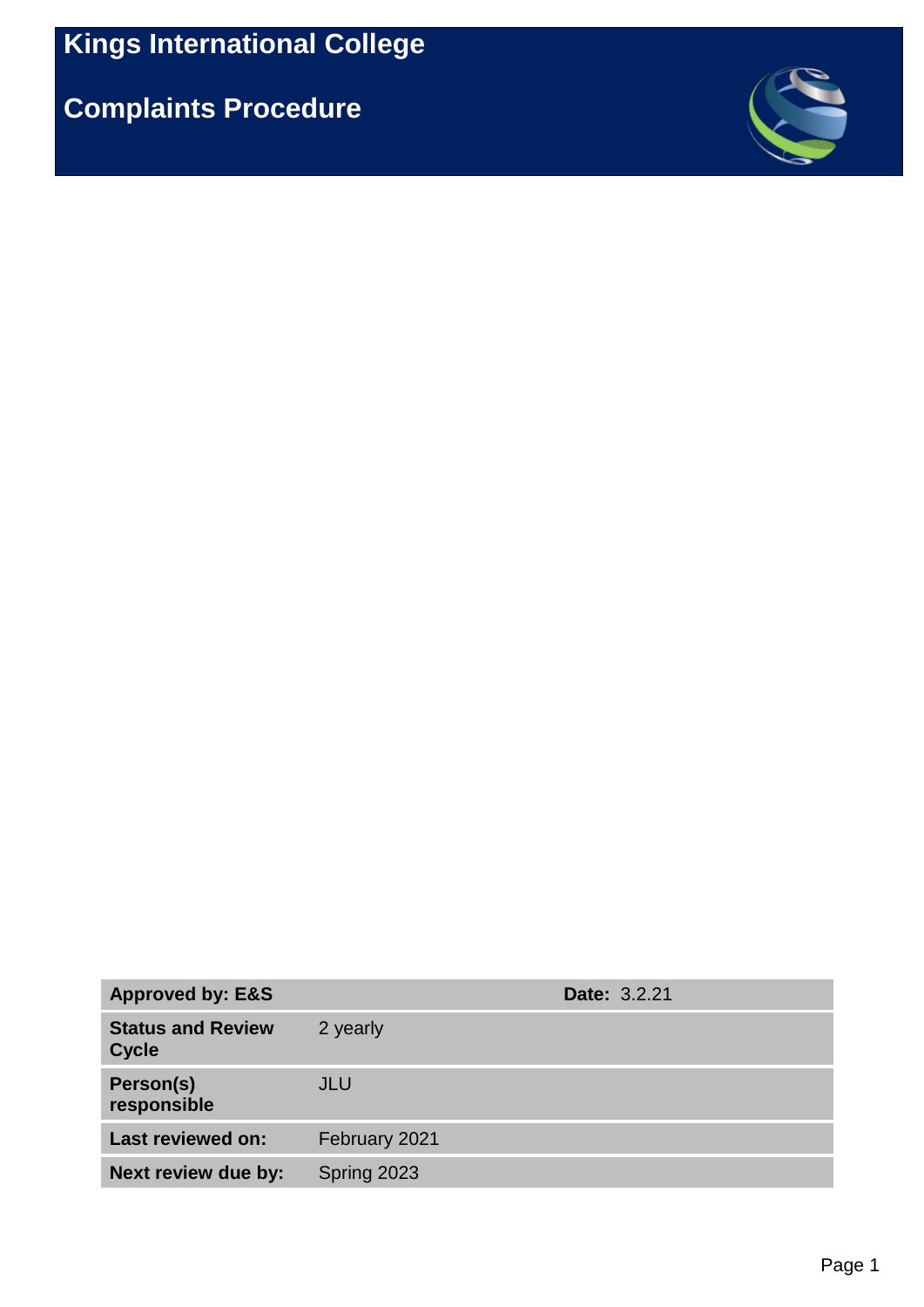**Complaints Procedure**



| <b>Approved by: E&amp;S</b>              |               | <b>Date: 3.2.21</b> |
|------------------------------------------|---------------|---------------------|
| <b>Status and Review</b><br><b>Cycle</b> | 2 yearly      |                     |
| Person(s)<br>responsible                 | JLU           |                     |
| Last reviewed on:                        | February 2021 |                     |
| Next review due by:                      | Spring 2023   |                     |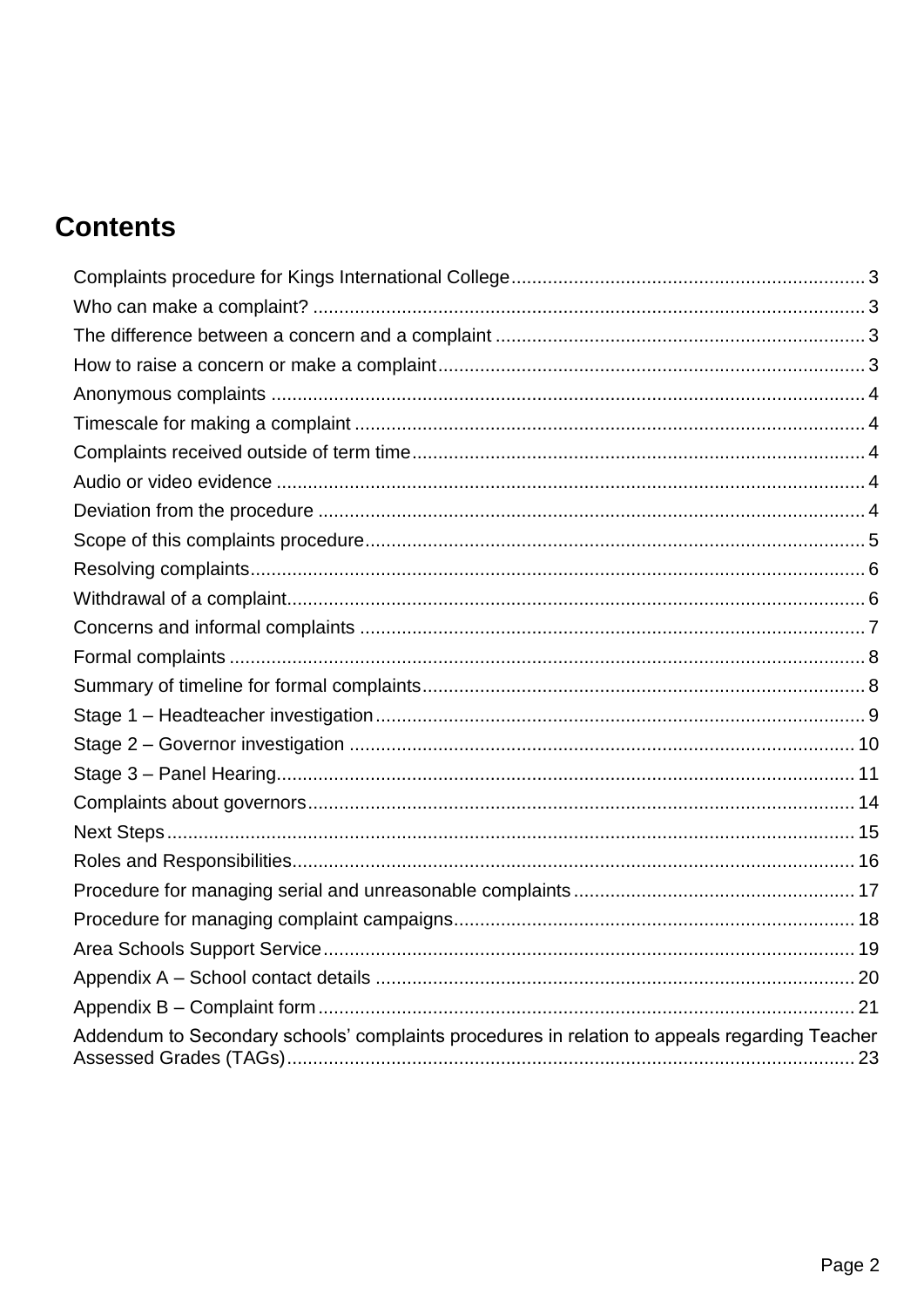## **Contents**

| Addendum to Secondary schools' complaints procedures in relation to appeals regarding Teacher |  |
|-----------------------------------------------------------------------------------------------|--|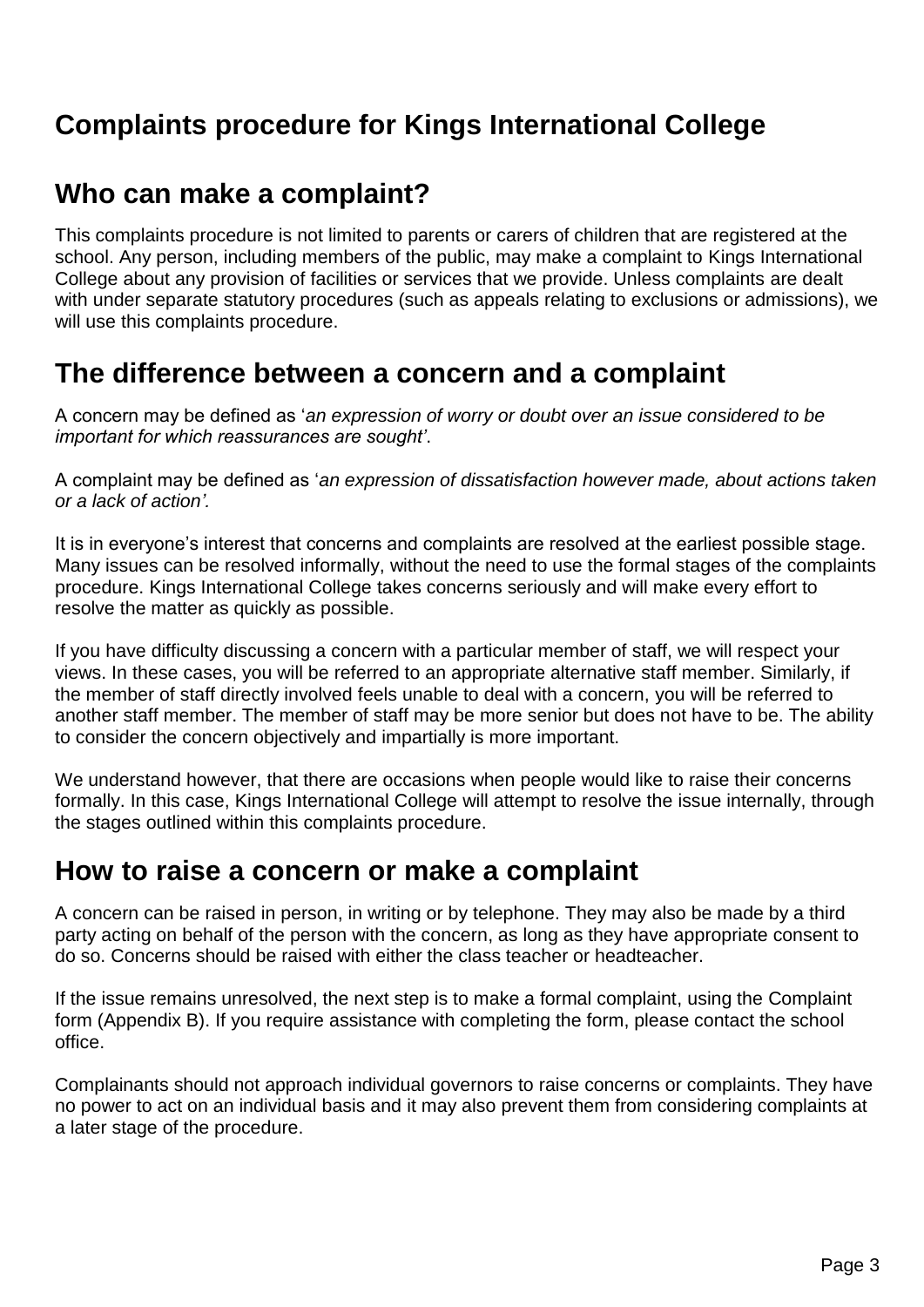### <span id="page-2-0"></span>**Complaints procedure for Kings International College**

### <span id="page-2-1"></span>**Who can make a complaint?**

This complaints procedure is not limited to parents or carers of children that are registered at the school. Any person, including members of the public, may make a complaint to Kings International College about any provision of facilities or services that we provide. Unless complaints are dealt with under separate statutory procedures (such as appeals relating to exclusions or admissions), we will use this complaints procedure.

### <span id="page-2-2"></span>**The difference between a concern and a complaint**

A concern may be defined as '*an expression of worry or doubt over an issue considered to be important for which reassurances are sought'*.

A complaint may be defined as '*an expression of dissatisfaction however made, about actions taken or a lack of action'.*

It is in everyone's interest that concerns and complaints are resolved at the earliest possible stage. Many issues can be resolved informally, without the need to use the formal stages of the complaints procedure. Kings International College takes concerns seriously and will make every effort to resolve the matter as quickly as possible.

If you have difficulty discussing a concern with a particular member of staff, we will respect your views. In these cases, you will be referred to an appropriate alternative staff member. Similarly, if the member of staff directly involved feels unable to deal with a concern, you will be referred to another staff member. The member of staff may be more senior but does not have to be. The ability to consider the concern objectively and impartially is more important.

We understand however, that there are occasions when people would like to raise their concerns formally. In this case, Kings International College will attempt to resolve the issue internally, through the stages outlined within this complaints procedure.

### <span id="page-2-3"></span>**How to raise a concern or make a complaint**

A concern can be raised in person, in writing or by telephone. They may also be made by a third party acting on behalf of the person with the concern, as long as they have appropriate consent to do so. Concerns should be raised with either the class teacher or headteacher.

If the issue remains unresolved, the next step is to make a formal complaint, using the Complaint form (Appendix B). If you require assistance with completing the form, please contact the school office.

Complainants should not approach individual governors to raise concerns or complaints. They have no power to act on an individual basis and it may also prevent them from considering complaints at a later stage of the procedure.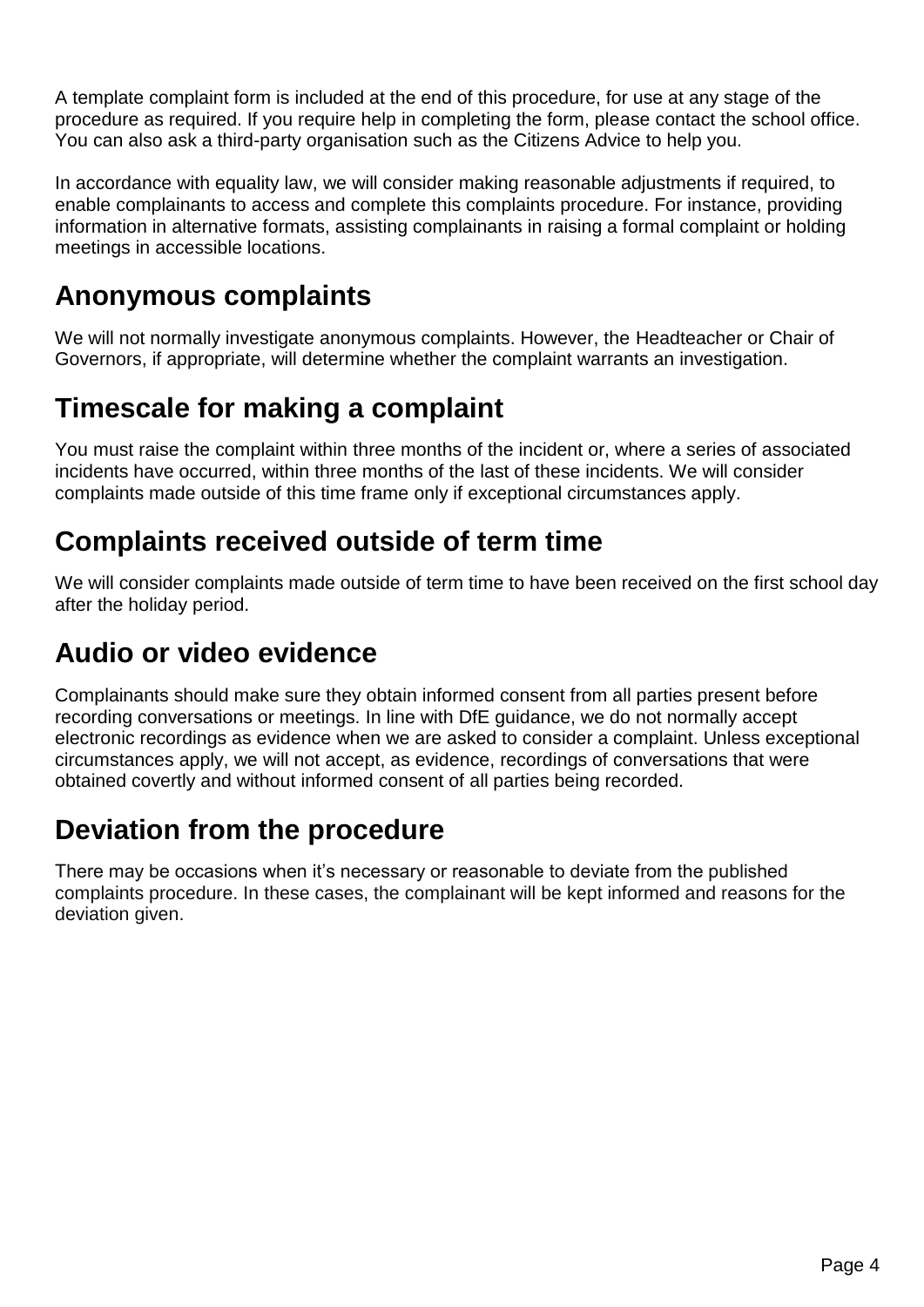A template complaint form is included at the end of this procedure, for use at any stage of the procedure as required. If you require help in completing the form, please contact the school office. You can also ask a third-party organisation such as the Citizens Advice to help you.

In accordance with equality law, we will consider making reasonable adjustments if required, to enable complainants to access and complete this complaints procedure. For instance, providing information in alternative formats, assisting complainants in raising a formal complaint or holding meetings in accessible locations.

## <span id="page-3-0"></span>**Anonymous complaints**

We will not normally investigate anonymous complaints. However, the Headteacher or Chair of Governors, if appropriate, will determine whether the complaint warrants an investigation.

## <span id="page-3-1"></span>**Timescale for making a complaint**

You must raise the complaint within three months of the incident or, where a series of associated incidents have occurred, within three months of the last of these incidents. We will consider complaints made outside of this time frame only if exceptional circumstances apply.

## <span id="page-3-2"></span>**Complaints received outside of term time**

We will consider complaints made outside of term time to have been received on the first school day after the holiday period.

## <span id="page-3-3"></span>**Audio or video evidence**

Complainants should make sure they obtain informed consent from all parties present before recording conversations or meetings. In line with DfE guidance, we do not normally accept electronic recordings as evidence when we are asked to consider a complaint. Unless exceptional circumstances apply, we will not accept, as evidence, recordings of conversations that were obtained covertly and without informed consent of all parties being recorded.

### <span id="page-3-4"></span>**Deviation from the procedure**

There may be occasions when it's necessary or reasonable to deviate from the published complaints procedure. In these cases, the complainant will be kept informed and reasons for the deviation given.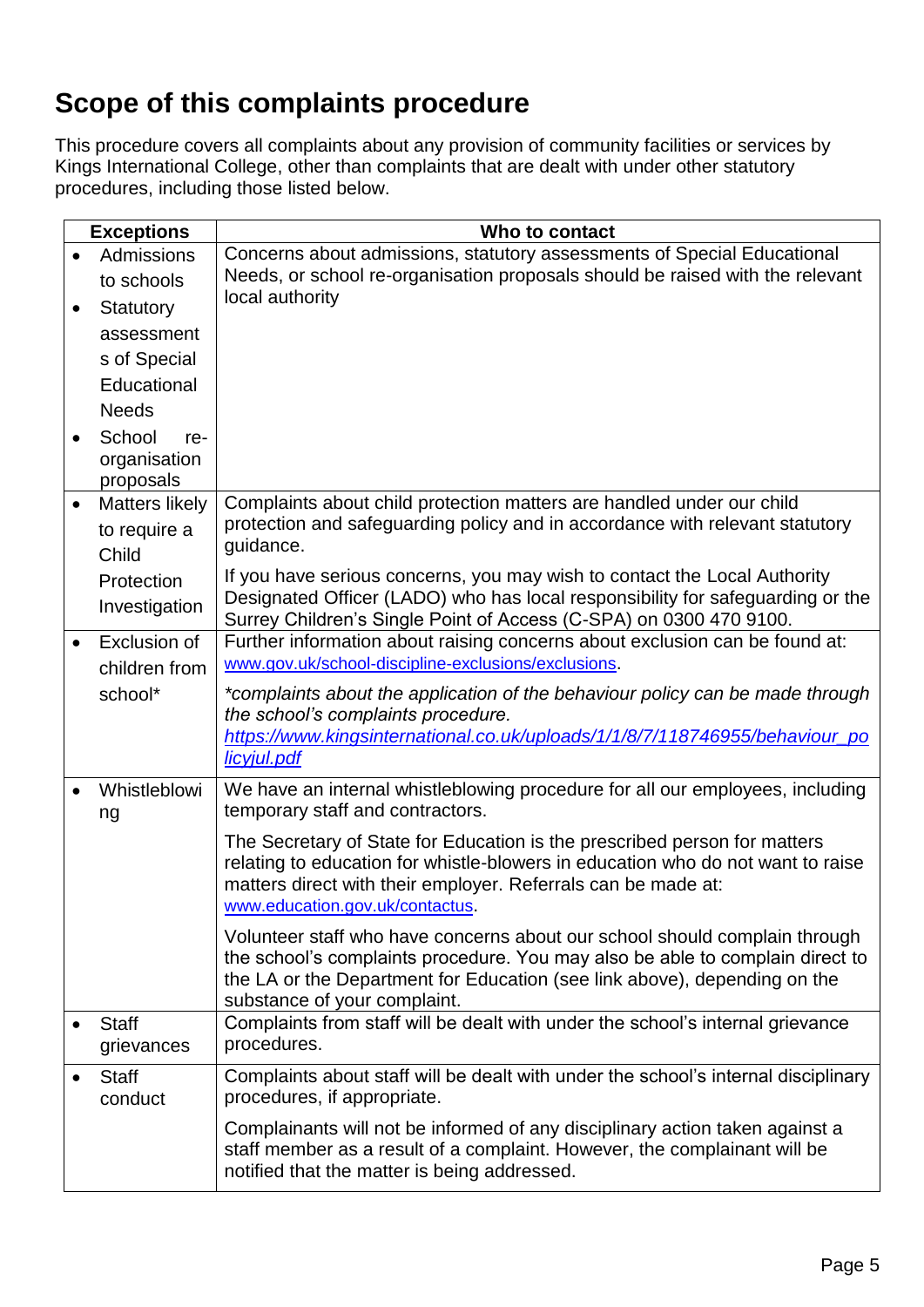## <span id="page-4-0"></span>**Scope of this complaints procedure**

This procedure covers all complaints about any provision of community facilities or services by Kings International College, other than complaints that are dealt with under other statutory procedures, including those listed below.

| <b>Exceptions</b>                  | Who to contact                                                                                                                                               |  |
|------------------------------------|--------------------------------------------------------------------------------------------------------------------------------------------------------------|--|
| Admissions                         | Concerns about admissions, statutory assessments of Special Educational                                                                                      |  |
| to schools                         | Needs, or school re-organisation proposals should be raised with the relevant                                                                                |  |
| Statutory                          | local authority                                                                                                                                              |  |
| assessment                         |                                                                                                                                                              |  |
| s of Special                       |                                                                                                                                                              |  |
| Educational                        |                                                                                                                                                              |  |
| <b>Needs</b>                       |                                                                                                                                                              |  |
| School<br>re-                      |                                                                                                                                                              |  |
| organisation                       |                                                                                                                                                              |  |
| proposals<br><b>Matters likely</b> | Complaints about child protection matters are handled under our child                                                                                        |  |
| to require a                       | protection and safeguarding policy and in accordance with relevant statutory                                                                                 |  |
| Child                              | guidance.                                                                                                                                                    |  |
| Protection                         | If you have serious concerns, you may wish to contact the Local Authority                                                                                    |  |
| Investigation                      | Designated Officer (LADO) who has local responsibility for safeguarding or the                                                                               |  |
|                                    | Surrey Children's Single Point of Access (C-SPA) on 0300 470 9100.                                                                                           |  |
| <b>Exclusion of</b>                | Further information about raising concerns about exclusion can be found at:<br>www.gov.uk/school-discipline-exclusions/exclusions.                           |  |
| children from                      |                                                                                                                                                              |  |
| school*                            | *complaints about the application of the behaviour policy can be made through<br>the school's complaints procedure.                                          |  |
|                                    | https://www.kingsinternational.co.uk/uploads/1/1/8/7/118746955/behaviour_po                                                                                  |  |
|                                    | licyjul.pdf                                                                                                                                                  |  |
| Whistleblowi                       | We have an internal whistleblowing procedure for all our employees, including                                                                                |  |
| ng                                 | temporary staff and contractors.                                                                                                                             |  |
|                                    | The Secretary of State for Education is the prescribed person for matters<br>relating to education for whistle-blowers in education who do not want to raise |  |
|                                    | matters direct with their employer. Referrals can be made at:                                                                                                |  |
|                                    | www.education.gov.uk/contactus.                                                                                                                              |  |
|                                    | Volunteer staff who have concerns about our school should complain through                                                                                   |  |
|                                    | the school's complaints procedure. You may also be able to complain direct to                                                                                |  |
|                                    | the LA or the Department for Education (see link above), depending on the                                                                                    |  |
| <b>Staff</b>                       | substance of your complaint.<br>Complaints from staff will be dealt with under the school's internal grievance                                               |  |
| grievances                         | procedures.                                                                                                                                                  |  |
| <b>Staff</b>                       | Complaints about staff will be dealt with under the school's internal disciplinary                                                                           |  |
| conduct                            | procedures, if appropriate.                                                                                                                                  |  |
|                                    | Complainants will not be informed of any disciplinary action taken against a                                                                                 |  |
|                                    | staff member as a result of a complaint. However, the complainant will be<br>notified that the matter is being addressed.                                    |  |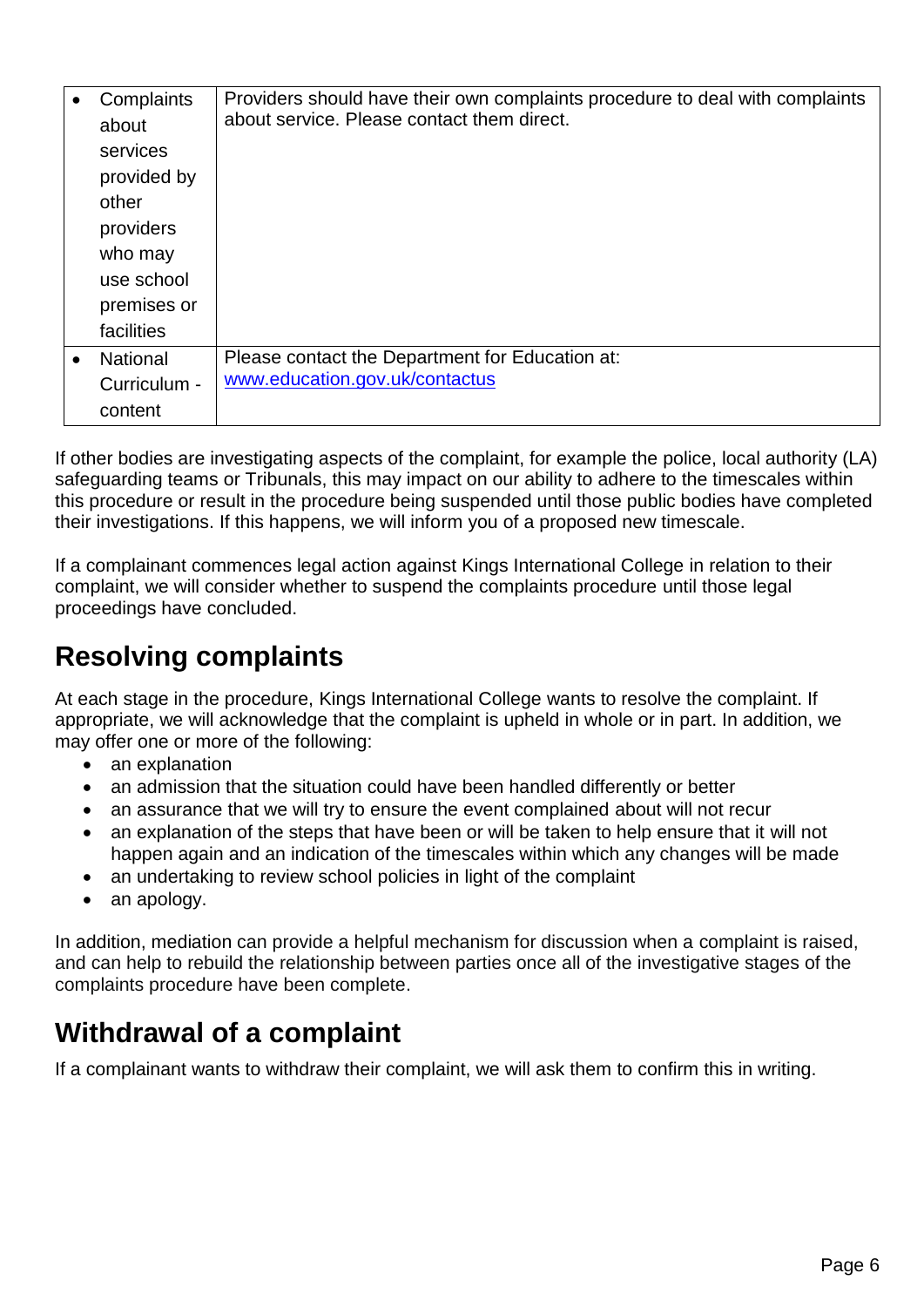|           | Complaints      | Providers should have their own complaints procedure to deal with complaints |
|-----------|-----------------|------------------------------------------------------------------------------|
|           | about           | about service. Please contact them direct.                                   |
|           | services        |                                                                              |
|           | provided by     |                                                                              |
|           | other           |                                                                              |
|           | providers       |                                                                              |
|           | who may         |                                                                              |
|           | use school      |                                                                              |
|           | premises or     |                                                                              |
|           | facilities      |                                                                              |
| $\bullet$ | <b>National</b> | Please contact the Department for Education at:                              |
|           | Curriculum -    | www.education.gov.uk/contactus                                               |
|           | content         |                                                                              |

If other bodies are investigating aspects of the complaint, for example the police, local authority (LA) safeguarding teams or Tribunals, this may impact on our ability to adhere to the timescales within this procedure or result in the procedure being suspended until those public bodies have completed their investigations. If this happens, we will inform you of a proposed new timescale.

If a complainant commences legal action against Kings International College in relation to their complaint, we will consider whether to suspend the complaints procedure until those legal proceedings have concluded.

## <span id="page-5-0"></span>**Resolving complaints**

At each stage in the procedure, Kings International College wants to resolve the complaint. If appropriate, we will acknowledge that the complaint is upheld in whole or in part. In addition, we may offer one or more of the following:

- an explanation
- an admission that the situation could have been handled differently or better
- an assurance that we will try to ensure the event complained about will not recur
- an explanation of the steps that have been or will be taken to help ensure that it will not happen again and an indication of the timescales within which any changes will be made
- an undertaking to review school policies in light of the complaint
- an apology.

In addition, mediation can provide a helpful mechanism for discussion when a complaint is raised, and can help to rebuild the relationship between parties once all of the investigative stages of the complaints procedure have been complete.

## <span id="page-5-1"></span>**Withdrawal of a complaint**

If a complainant wants to withdraw their complaint, we will ask them to confirm this in writing.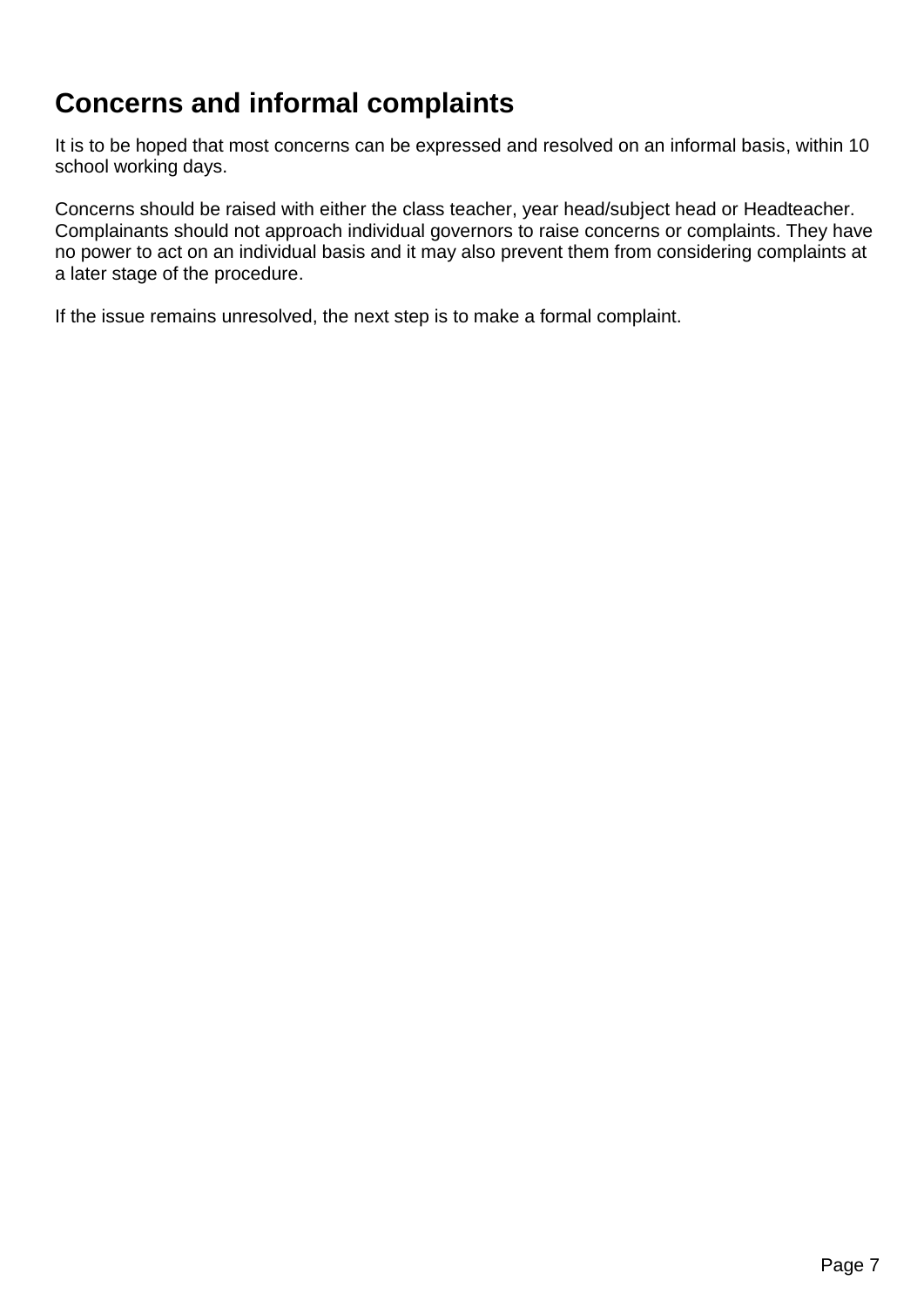## <span id="page-6-0"></span>**Concerns and informal complaints**

It is to be hoped that most concerns can be expressed and resolved on an informal basis, within 10 school working days.

Concerns should be raised with either the class teacher, year head/subject head or Headteacher. Complainants should not approach individual governors to raise concerns or complaints. They have no power to act on an individual basis and it may also prevent them from considering complaints at a later stage of the procedure.

If the issue remains unresolved, the next step is to make a formal complaint.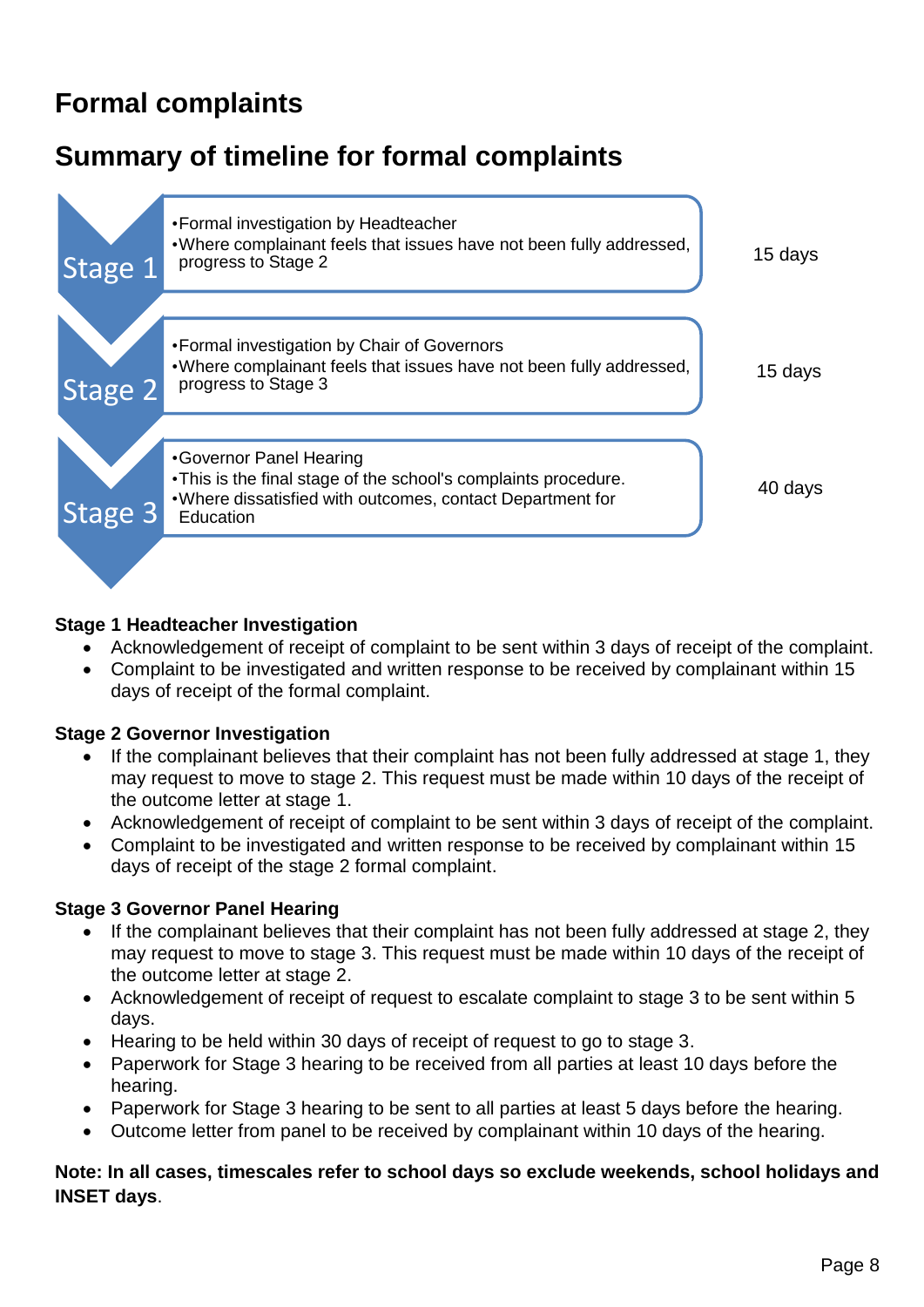## <span id="page-7-0"></span>**Formal complaints**

## <span id="page-7-1"></span>**Summary of timeline for formal complaints**



#### **Stage 1 Headteacher Investigation**

- Acknowledgement of receipt of complaint to be sent within 3 days of receipt of the complaint.
- Complaint to be investigated and written response to be received by complainant within 15 days of receipt of the formal complaint.

#### **Stage 2 Governor Investigation**

- If the complainant believes that their complaint has not been fully addressed at stage 1, they may request to move to stage 2. This request must be made within 10 days of the receipt of the outcome letter at stage 1.
- Acknowledgement of receipt of complaint to be sent within 3 days of receipt of the complaint.
- Complaint to be investigated and written response to be received by complainant within 15 days of receipt of the stage 2 formal complaint.

#### **Stage 3 Governor Panel Hearing**

- If the complainant believes that their complaint has not been fully addressed at stage 2, they may request to move to stage 3. This request must be made within 10 days of the receipt of the outcome letter at stage 2.
- Acknowledgement of receipt of request to escalate complaint to stage 3 to be sent within 5 days.
- Hearing to be held within 30 days of receipt of request to go to stage 3.
- Paperwork for Stage 3 hearing to be received from all parties at least 10 days before the hearing.
- Paperwork for Stage 3 hearing to be sent to all parties at least 5 days before the hearing.
- Outcome letter from panel to be received by complainant within 10 days of the hearing.

#### **Note: In all cases, timescales refer to school days so exclude weekends, school holidays and INSET days**.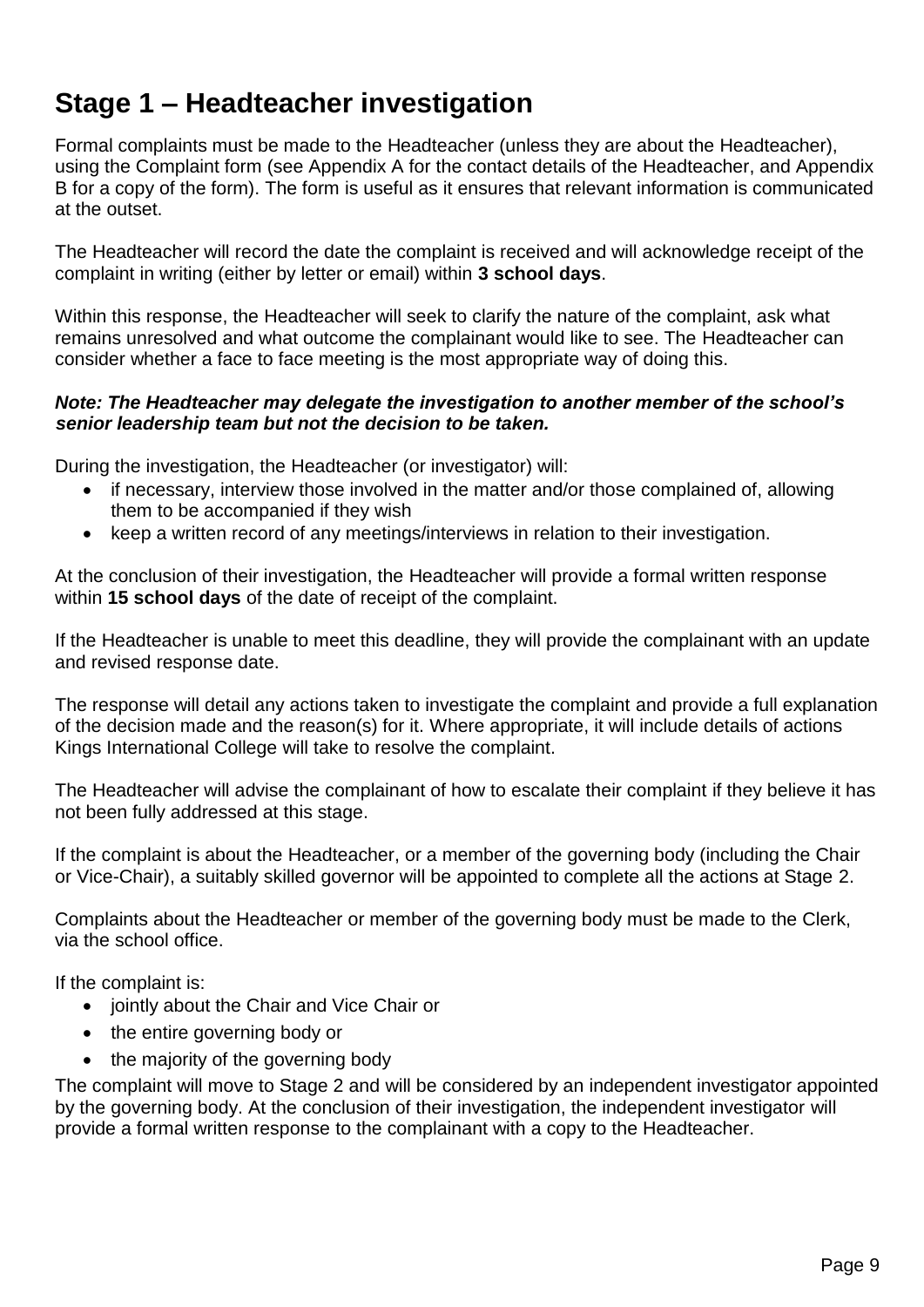<span id="page-8-0"></span>Formal complaints must be made to the Headteacher (unless they are about the Headteacher), using the Complaint form (see Appendix A for the contact details of the Headteacher, and Appendix B for a copy of the form). The form is useful as it ensures that relevant information is communicated at the outset.

The Headteacher will record the date the complaint is received and will acknowledge receipt of the complaint in writing (either by letter or email) within **3 school days**.

Within this response, the Headteacher will seek to clarify the nature of the complaint, ask what remains unresolved and what outcome the complainant would like to see. The Headteacher can consider whether a face to face meeting is the most appropriate way of doing this.

#### *Note: The Headteacher may delegate the investigation to another member of the school's senior leadership team but not the decision to be taken.*

During the investigation, the Headteacher (or investigator) will:

- if necessary, interview those involved in the matter and/or those complained of, allowing them to be accompanied if they wish
- keep a written record of any meetings/interviews in relation to their investigation.

At the conclusion of their investigation, the Headteacher will provide a formal written response within **15 school days** of the date of receipt of the complaint.

If the Headteacher is unable to meet this deadline, they will provide the complainant with an update and revised response date.

The response will detail any actions taken to investigate the complaint and provide a full explanation of the decision made and the reason(s) for it. Where appropriate, it will include details of actions Kings International College will take to resolve the complaint.

The Headteacher will advise the complainant of how to escalate their complaint if they believe it has not been fully addressed at this stage.

If the complaint is about the Headteacher, or a member of the governing body (including the Chair or Vice-Chair), a suitably skilled governor will be appointed to complete all the actions at Stage 2.

Complaints about the Headteacher or member of the governing body must be made to the Clerk, via the school office.

If the complaint is:

- jointly about the Chair and Vice Chair or
- the entire governing body or
- the majority of the governing body

The complaint will move to Stage 2 and will be considered by an independent investigator appointed by the governing body. At the conclusion of their investigation, the independent investigator will provide a formal written response to the complainant with a copy to the Headteacher.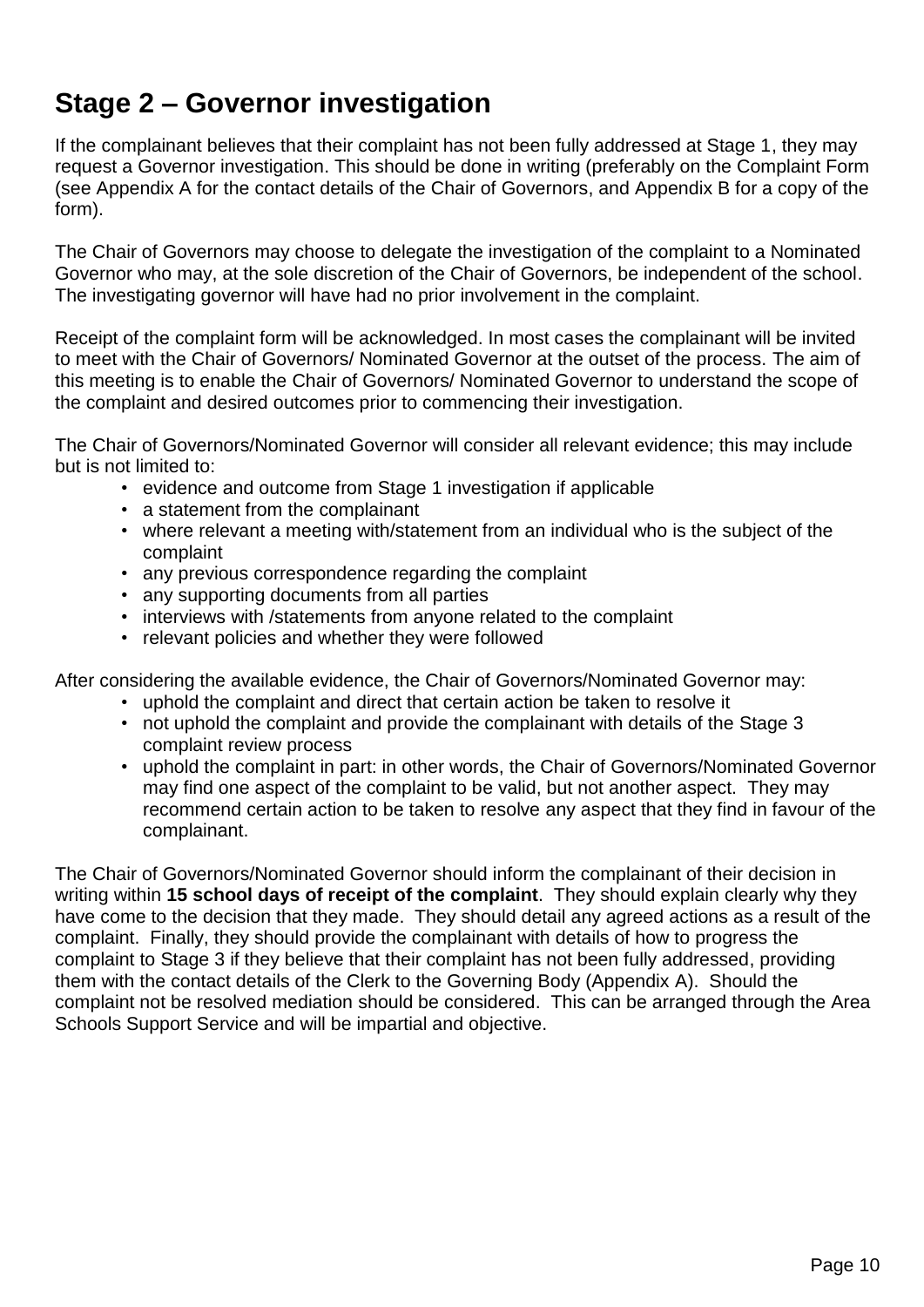## <span id="page-9-0"></span>**Stage 2 – Governor investigation**

If the complainant believes that their complaint has not been fully addressed at Stage 1, they may request a Governor investigation. This should be done in writing (preferably on the Complaint Form (see Appendix A for the contact details of the Chair of Governors, and Appendix B for a copy of the form).

The Chair of Governors may choose to delegate the investigation of the complaint to a Nominated Governor who may, at the sole discretion of the Chair of Governors, be independent of the school. The investigating governor will have had no prior involvement in the complaint.

Receipt of the complaint form will be acknowledged. In most cases the complainant will be invited to meet with the Chair of Governors/ Nominated Governor at the outset of the process. The aim of this meeting is to enable the Chair of Governors/ Nominated Governor to understand the scope of the complaint and desired outcomes prior to commencing their investigation.

The Chair of Governors/Nominated Governor will consider all relevant evidence; this may include but is not limited to:

- evidence and outcome from Stage 1 investigation if applicable
- a statement from the complainant
- where relevant a meeting with/statement from an individual who is the subject of the complaint
- any previous correspondence regarding the complaint
- any supporting documents from all parties
- interviews with /statements from anyone related to the complaint
- relevant policies and whether they were followed

After considering the available evidence, the Chair of Governors/Nominated Governor may:

- uphold the complaint and direct that certain action be taken to resolve it
- not uphold the complaint and provide the complainant with details of the Stage 3 complaint review process
- uphold the complaint in part: in other words, the Chair of Governors/Nominated Governor may find one aspect of the complaint to be valid, but not another aspect. They may recommend certain action to be taken to resolve any aspect that they find in favour of the complainant.

The Chair of Governors/Nominated Governor should inform the complainant of their decision in writing within **15 school days of receipt of the complaint**. They should explain clearly why they have come to the decision that they made. They should detail any agreed actions as a result of the complaint. Finally, they should provide the complainant with details of how to progress the complaint to Stage 3 if they believe that their complaint has not been fully addressed, providing them with the contact details of the Clerk to the Governing Body (Appendix A). Should the complaint not be resolved mediation should be considered. This can be arranged through the Area Schools Support Service and will be impartial and objective.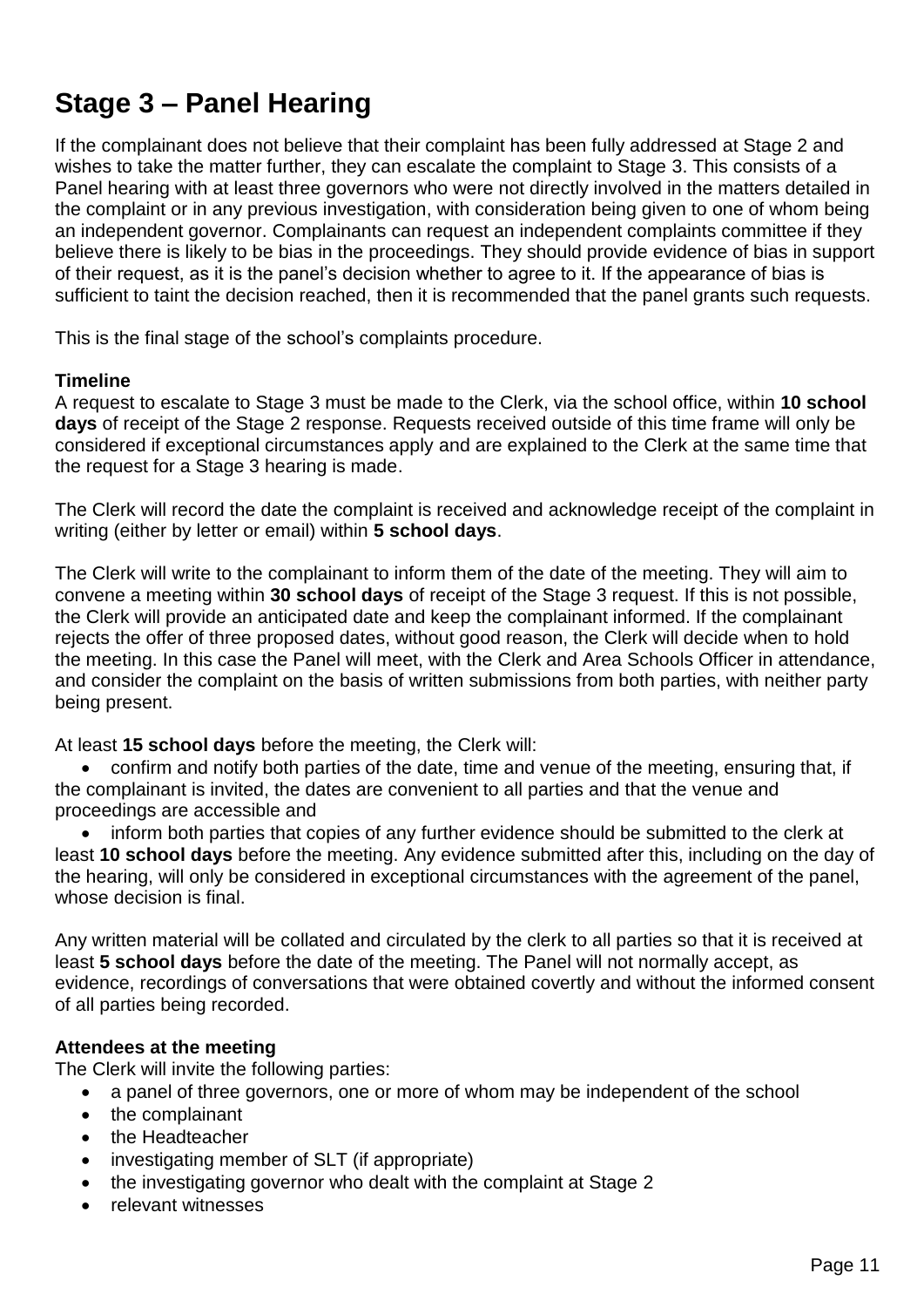## <span id="page-10-0"></span>**Stage 3 – Panel Hearing**

If the complainant does not believe that their complaint has been fully addressed at Stage 2 and wishes to take the matter further, they can escalate the complaint to Stage 3. This consists of a Panel hearing with at least three governors who were not directly involved in the matters detailed in the complaint or in any previous investigation, with consideration being given to one of whom being an independent governor. Complainants can request an independent complaints committee if they believe there is likely to be bias in the [proceedings.](https://www.gov.uk/government/publications/school-complaints-procedures/best-practice-advice-for-school-complaints-procedures-2019#bias-in-the-proceedings) They should provide evidence of bias in support of their request, as it is the panel's decision whether to agree to it. If the appearance of bias is sufficient to taint the decision reached, then it is recommended that the panel grants such requests.

This is the final stage of the school's complaints procedure.

#### **Timeline**

A request to escalate to Stage 3 must be made to the Clerk, via the school office, within **10 school days** of receipt of the Stage 2 response. Requests received outside of this time frame will only be considered if exceptional circumstances apply and are explained to the Clerk at the same time that the request for a Stage 3 hearing is made.

The Clerk will record the date the complaint is received and acknowledge receipt of the complaint in writing (either by letter or email) within **5 school days**.

The Clerk will write to the complainant to inform them of the date of the meeting. They will aim to convene a meeting within **30 school days** of receipt of the Stage 3 request. If this is not possible, the Clerk will provide an anticipated date and keep the complainant informed. If the complainant rejects the offer of three proposed dates, without good reason, the Clerk will decide when to hold the meeting. In this case the Panel will meet, with the Clerk and Area Schools Officer in attendance, and consider the complaint on the basis of written submissions from both parties, with neither party being present.

At least **15 school days** before the meeting, the Clerk will:

• confirm and notify both parties of the date, time and venue of the meeting, ensuring that, if the complainant is invited, the dates are convenient to all parties and that the venue and proceedings are accessible and

• inform both parties that copies of any further evidence should be submitted to the clerk at least **10 school days** before the meeting. Any evidence submitted after this, including on the day of the hearing, will only be considered in exceptional circumstances with the agreement of the panel, whose decision is final.

Any written material will be collated and circulated by the clerk to all parties so that it is received at least **5 school days** before the date of the meeting. The Panel will not normally accept, as evidence, recordings of conversations that were obtained covertly and without the informed consent of all parties being recorded.

#### **Attendees at the meeting**

The Clerk will invite the following parties:

- a panel of three governors, one or more of whom may be independent of the school
- the complainant
- the Headteacher
- investigating member of SLT (if appropriate)
- the investigating governor who dealt with the complaint at Stage 2
- relevant witnesses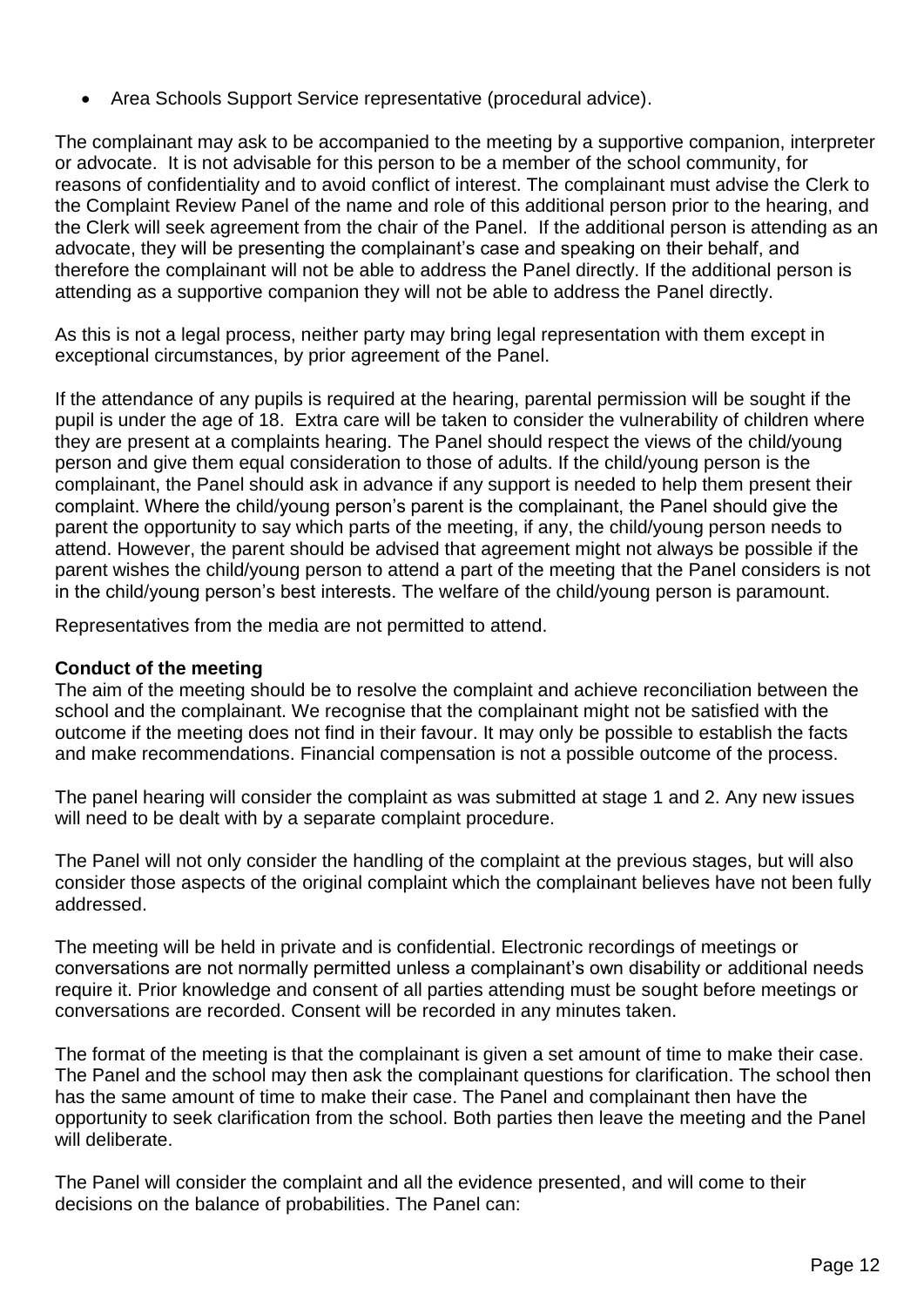• Area Schools Support Service representative (procedural advice).

The complainant may ask to be accompanied to the meeting by a supportive companion, interpreter or advocate. It is not advisable for this person to be a member of the school community, for reasons of confidentiality and to avoid conflict of interest. The complainant must advise the Clerk to the Complaint Review Panel of the name and role of this additional person prior to the hearing, and the Clerk will seek agreement from the chair of the Panel. If the additional person is attending as an advocate, they will be presenting the complainant's case and speaking on their behalf, and therefore the complainant will not be able to address the Panel directly. If the additional person is attending as a supportive companion they will not be able to address the Panel directly.

As this is not a legal process, neither party may bring legal representation with them except in exceptional circumstances, by prior agreement of the Panel.

If the attendance of any pupils is required at the hearing, parental permission will be sought if the pupil is under the age of 18. Extra care will be taken to consider the vulnerability of children where they are present at a complaints hearing. The Panel should respect the views of the child/young person and give them equal consideration to those of adults. If the child/young person is the complainant, the Panel should ask in advance if any support is needed to help them present their complaint. Where the child/young person's parent is the complainant, the Panel should give the parent the opportunity to say which parts of the meeting, if any, the child/young person needs to attend. However, the parent should be advised that agreement might not always be possible if the parent wishes the child/young person to attend a part of the meeting that the Panel considers is not in the child/young person's best interests. The welfare of the child/young person is paramount.

Representatives from the media are not permitted to attend.

#### **Conduct of the meeting**

The aim of the meeting should be to resolve the complaint and achieve reconciliation between the school and the complainant. We recognise that the complainant might not be satisfied with the outcome if the meeting does not find in their favour. It may only be possible to establish the facts and make recommendations. Financial compensation is not a possible outcome of the process.

The panel hearing will consider the complaint as was submitted at stage 1 and 2. Any new issues will need to be dealt with by a separate complaint procedure.

The Panel will not only consider the handling of the complaint at the previous stages, but will also consider those aspects of the original complaint which the complainant believes have not been fully addressed.

The meeting will be held in private and is confidential. Electronic recordings of meetings or conversations are not normally permitted unless a complainant's own disability or additional needs require it. Prior knowledge and consent of all parties attending must be sought before meetings or conversations are recorded. Consent will be recorded in any minutes taken.

The format of the meeting is that the complainant is given a set amount of time to make their case. The Panel and the school may then ask the complainant questions for clarification. The school then has the same amount of time to make their case. The Panel and complainant then have the opportunity to seek clarification from the school. Both parties then leave the meeting and the Panel will deliberate.

The Panel will consider the complaint and all the evidence presented, and will come to their decisions on the balance of probabilities. The Panel can: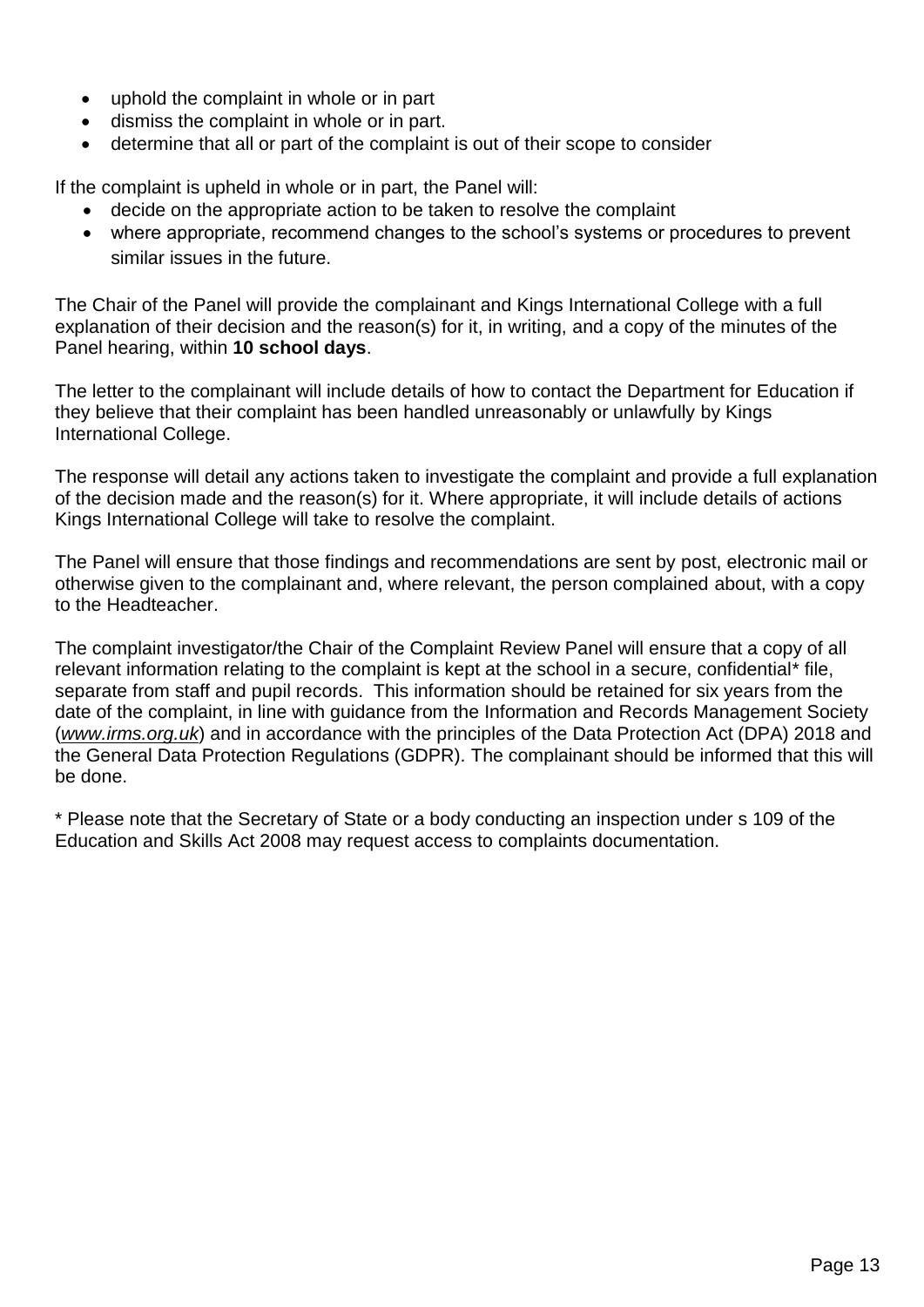- uphold the complaint in whole or in part
- dismiss the complaint in whole or in part.
- determine that all or part of the complaint is out of their scope to consider

If the complaint is upheld in whole or in part, the Panel will:

- decide on the appropriate action to be taken to resolve the complaint
- where appropriate, recommend changes to the school's systems or procedures to prevent similar issues in the future.

The Chair of the Panel will provide the complainant and Kings International College with a full explanation of their decision and the reason(s) for it, in writing, and a copy of the minutes of the Panel hearing, within **10 school days**.

The letter to the complainant will include details of how to contact the Department for Education if they believe that their complaint has been handled unreasonably or unlawfully by Kings International College.

The response will detail any actions taken to investigate the complaint and provide a full explanation of the decision made and the reason(s) for it. Where appropriate, it will include details of actions Kings International College will take to resolve the complaint.

The Panel will ensure that those findings and recommendations are sent by post, electronic mail or otherwise given to the complainant and, where relevant, the person complained about, with a copy to the Headteacher.

The complaint investigator/the Chair of the Complaint Review Panel will ensure that a copy of all relevant information relating to the complaint is kept at the school in a secure, confidential\* file, separate from staff and pupil records. This information should be retained for six years from the date of the complaint, in line with guidance from the Information and Records Management Society (*[www.irms.org.uk](http://www.irms.org.uk/)*) and in accordance with the principles of the Data Protection Act (DPA) 2018 and the General Data Protection Regulations (GDPR). The complainant should be informed that this will be done.

\* Please note that the Secretary of State or a body conducting an inspection under s 109 of the Education and Skills Act 2008 may request access to complaints documentation.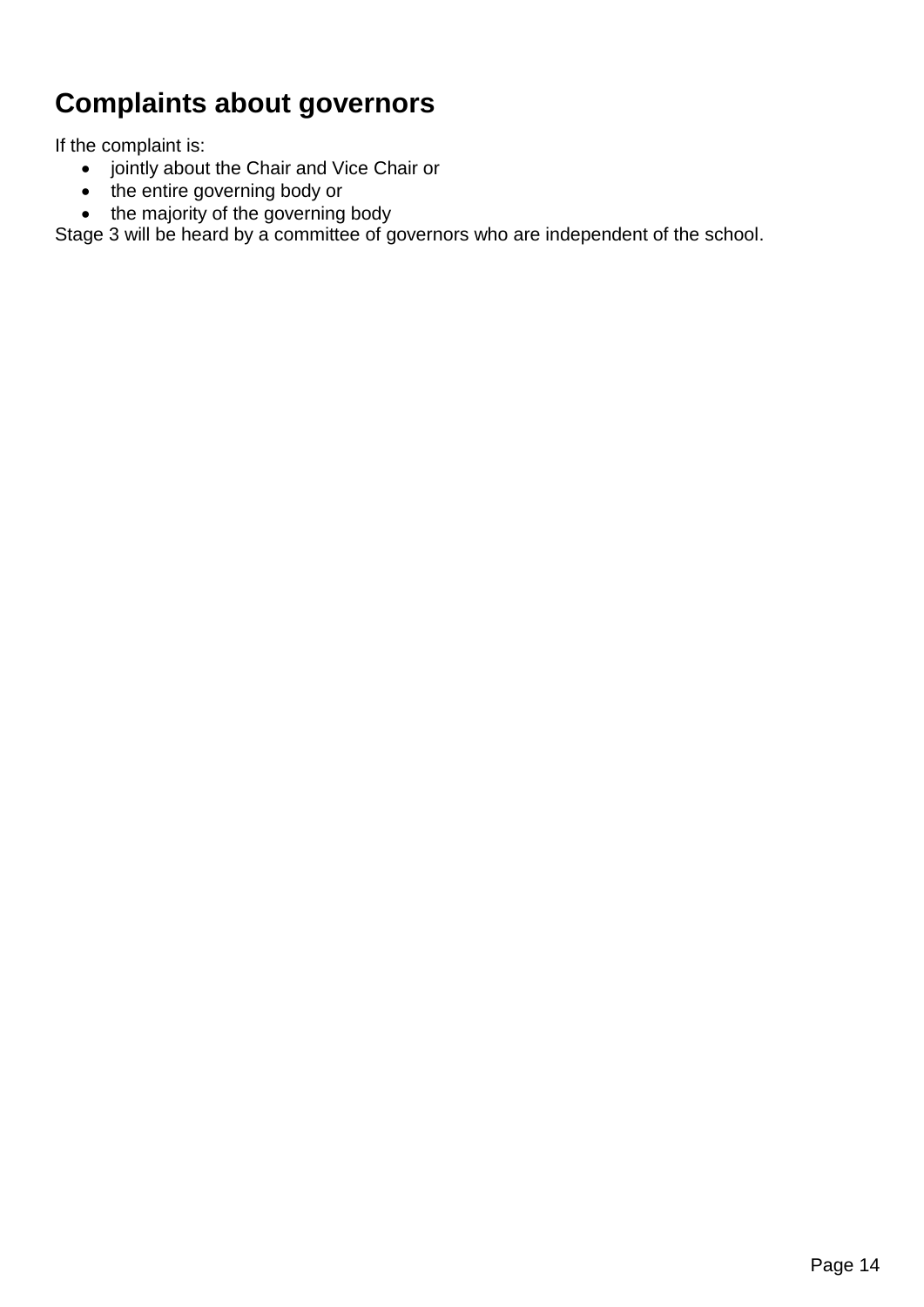## <span id="page-13-0"></span>**Complaints about governors**

If the complaint is:

- jointly about the Chair and Vice Chair or
- the entire governing body or
- the majority of the governing body

Stage 3 will be heard by a committee of governors who are independent of the school.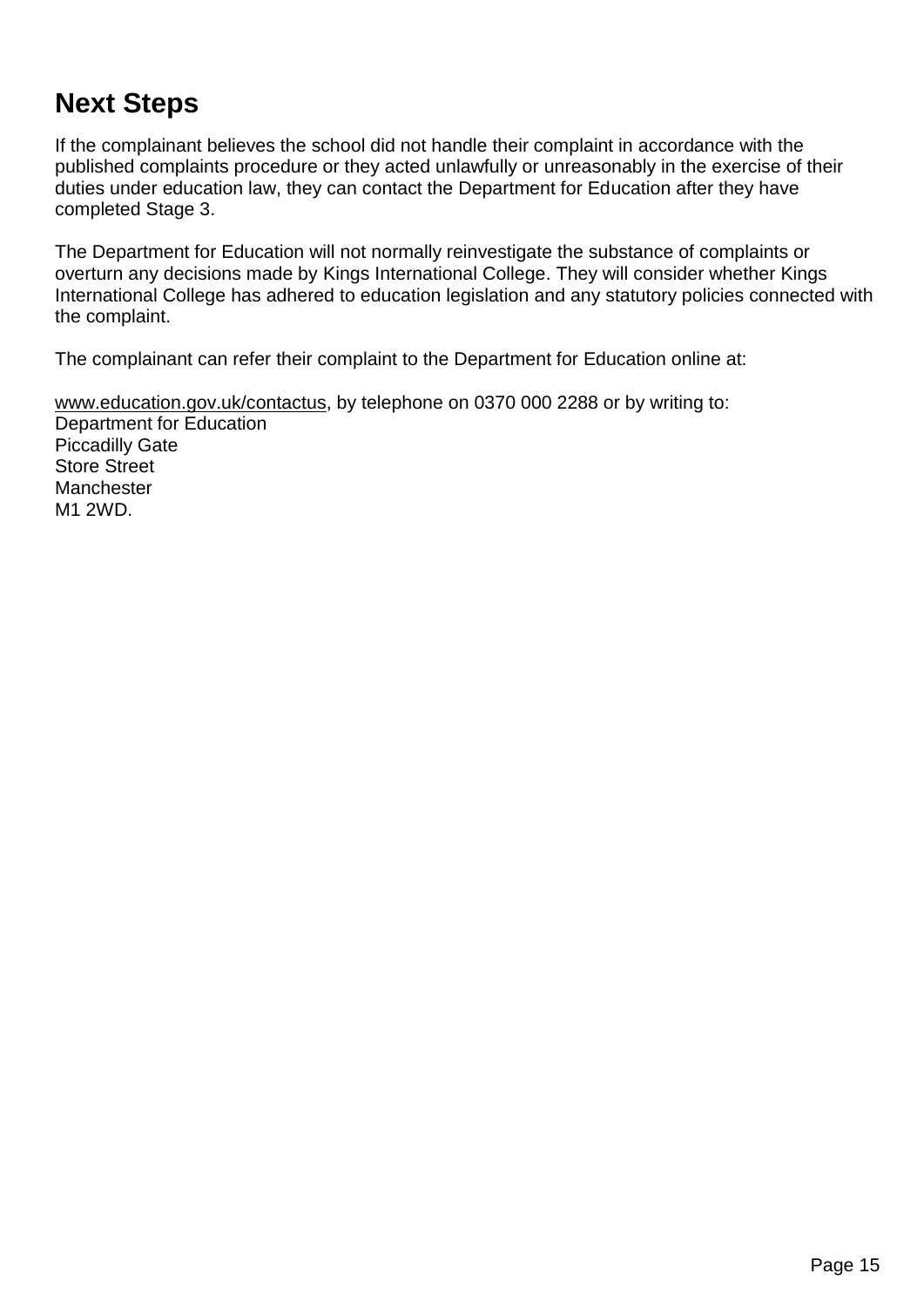## <span id="page-14-0"></span>**Next Steps**

If the complainant believes the school did not handle their complaint in accordance with the published complaints procedure or they acted unlawfully or unreasonably in the exercise of their duties under education law, they can contact the Department for Education after they have completed Stage 3.

The Department for Education will not normally reinvestigate the substance of complaints or overturn any decisions made by Kings International College. They will consider whether Kings International College has adhered to education legislation and any statutory policies connected with the complaint.

The complainant can refer their complaint to the Department for Education online at:

[www.education.gov.uk/contactus,](http://www.education.gov.uk/contactus) by telephone on 0370 000 2288 or by writing to: Department for Education Piccadilly Gate Store Street Manchester M1 2WD.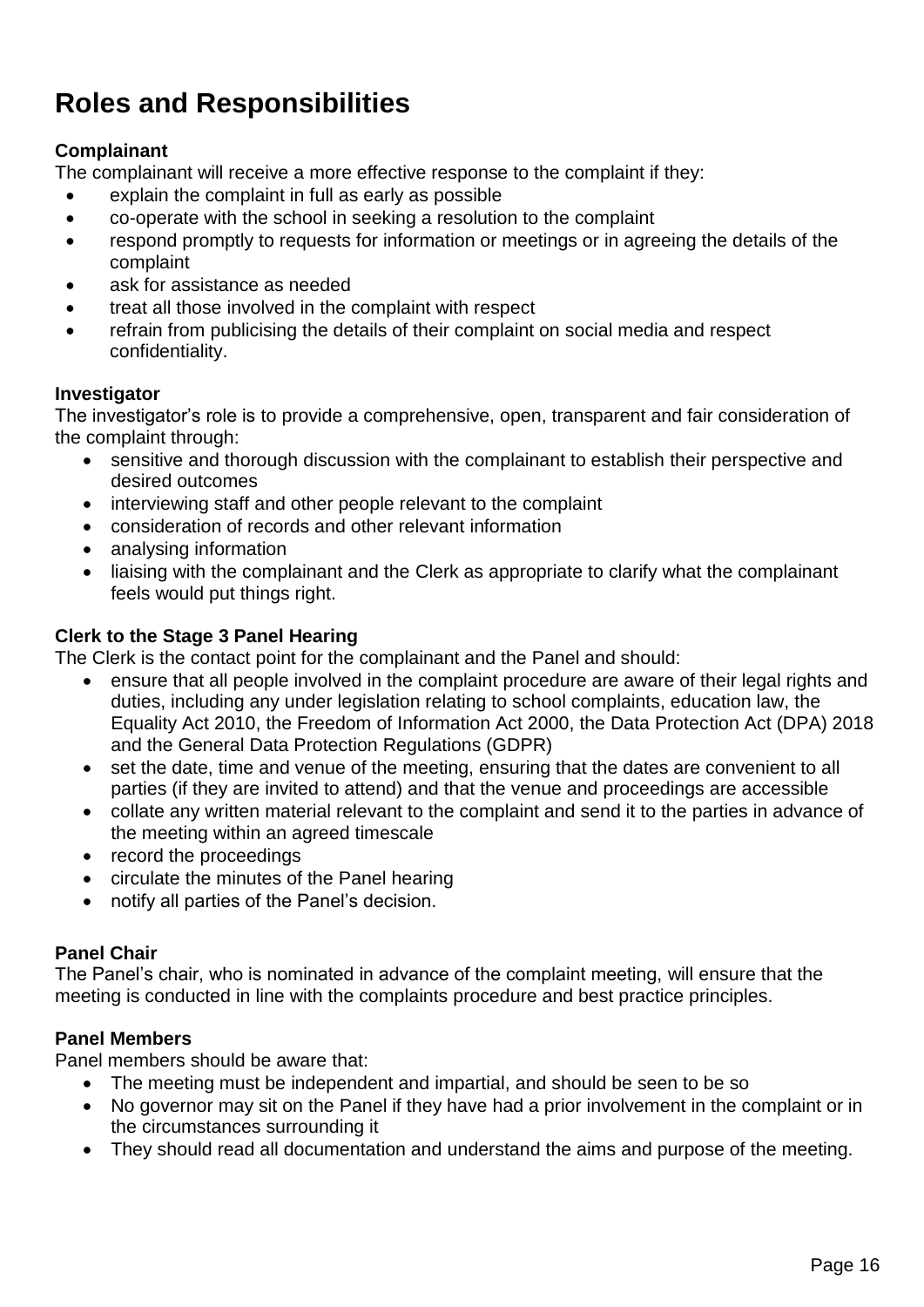# <span id="page-15-0"></span>**Roles and Responsibilities**

#### **Complainant**

The complainant will receive a more effective response to the complaint if they:

- explain the complaint in full as early as possible
- co-operate with the school in seeking a resolution to the complaint
- respond promptly to requests for information or meetings or in agreeing the details of the complaint
- ask for assistance as needed
- treat all those involved in the complaint with respect
- refrain from publicising the details of their complaint on social media and respect confidentiality.

#### **Investigator**

The investigator's role is to provide a comprehensive, open, transparent and fair consideration of the complaint through:

- sensitive and thorough discussion with the complainant to establish their perspective and desired outcomes
- interviewing staff and other people relevant to the complaint
- consideration of records and other relevant information
- analysing information
- liaising with the complainant and the Clerk as appropriate to clarify what the complainant feels would put things right.

#### **Clerk to the Stage 3 Panel Hearing**

The Clerk is the contact point for the complainant and the Panel and should:

- ensure that all people involved in the complaint procedure are aware of their legal rights and duties, including any under legislation relating to school complaints, education law, the Equality Act 2010, the Freedom of Information Act 2000, the Data Protection Act (DPA) 2018 and the General Data Protection Regulations (GDPR)
- set the date, time and venue of the meeting, ensuring that the dates are convenient to all parties (if they are invited to attend) and that the venue and proceedings are accessible
- collate any written material relevant to the complaint and send it to the parties in advance of the meeting within an agreed timescale
- record the proceedings
- circulate the minutes of the Panel hearing
- notify all parties of the Panel's decision.

#### **Panel Chair**

The Panel's chair, who is nominated in advance of the complaint meeting, will ensure that the meeting is conducted in line with the complaints procedure and best practice principles.

#### **Panel Members**

Panel members should be aware that:

- The meeting must be independent and impartial, and should be seen to be so
	- No governor may sit on the Panel if they have had a prior involvement in the complaint or in the circumstances surrounding it
	- They should read all documentation and understand the aims and purpose of the meeting.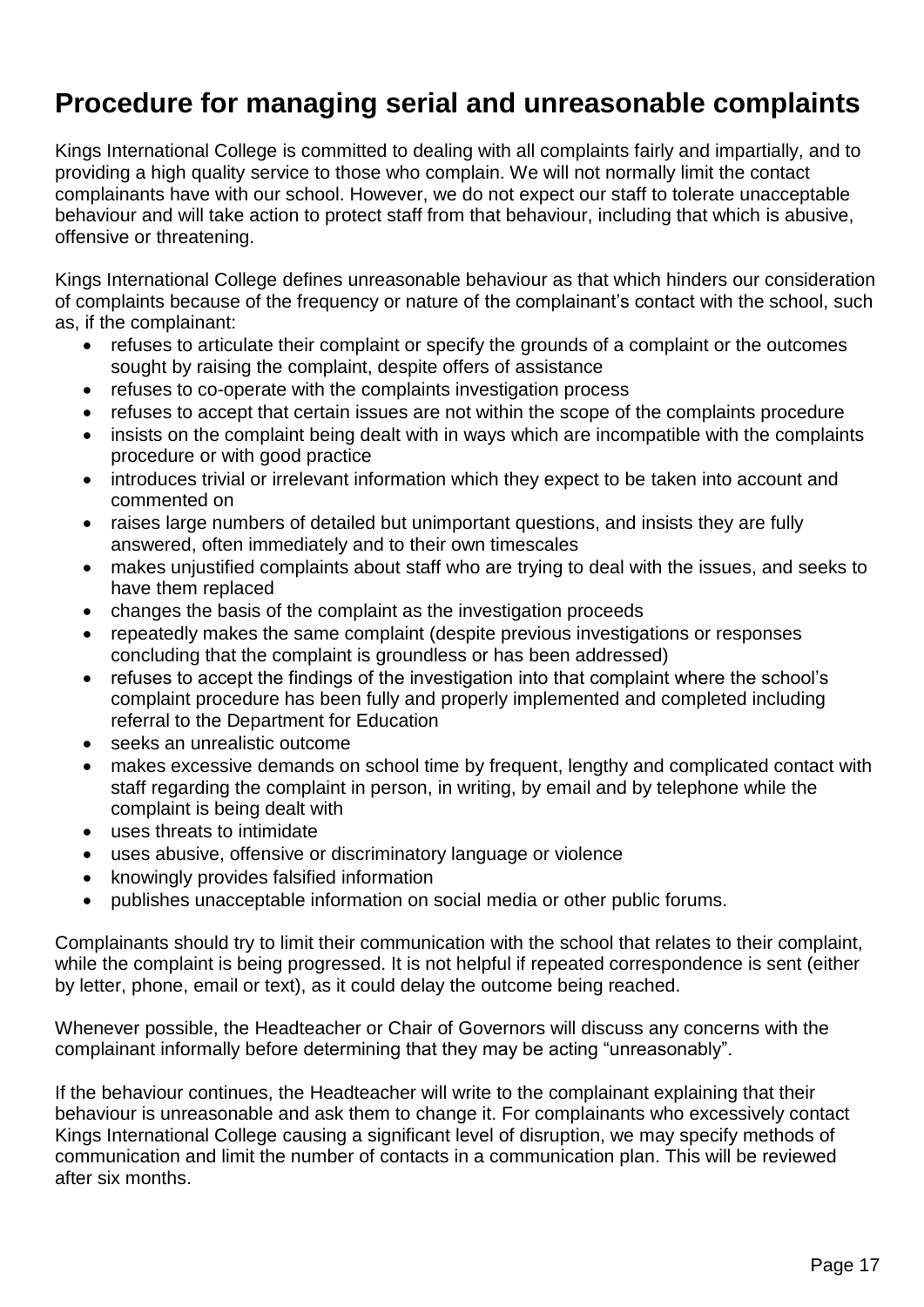## <span id="page-16-0"></span>**Procedure for managing serial and unreasonable complaints**

Kings International College is committed to dealing with all complaints fairly and impartially, and to providing a high quality service to those who complain. We will not normally limit the contact complainants have with our school. However, we do not expect our staff to tolerate unacceptable behaviour and will take action to protect staff from that behaviour, including that which is abusive, offensive or threatening.

Kings International College defines unreasonable behaviour as that which hinders our consideration of complaints because of the frequency or nature of the complainant's contact with the school, such as, if the complainant:

- refuses to articulate their complaint or specify the grounds of a complaint or the outcomes sought by raising the complaint, despite offers of assistance
- refuses to co-operate with the complaints investigation process
- refuses to accept that certain issues are not within the scope of the complaints procedure
- insists on the complaint being dealt with in ways which are incompatible with the complaints procedure or with good practice
- introduces trivial or irrelevant information which they expect to be taken into account and commented on
- raises large numbers of detailed but unimportant questions, and insists they are fully answered, often immediately and to their own timescales
- makes unjustified complaints about staff who are trying to deal with the issues, and seeks to have them replaced
- changes the basis of the complaint as the investigation proceeds
- repeatedly makes the same complaint (despite previous investigations or responses concluding that the complaint is groundless or has been addressed)
- refuses to accept the findings of the investigation into that complaint where the school's complaint procedure has been fully and properly implemented and completed including referral to the Department for Education
- seeks an unrealistic outcome
- makes excessive demands on school time by frequent, lengthy and complicated contact with staff regarding the complaint in person, in writing, by email and by telephone while the complaint is being dealt with
- uses threats to intimidate
- uses abusive, offensive or discriminatory language or violence
- knowingly provides falsified information
- publishes unacceptable information on social media or other public forums.

Complainants should try to limit their communication with the school that relates to their complaint, while the complaint is being progressed. It is not helpful if repeated correspondence is sent (either by letter, phone, email or text), as it could delay the outcome being reached.

Whenever possible, the Headteacher or Chair of Governors will discuss any concerns with the complainant informally before determining that they may be acting "unreasonably".

If the behaviour continues, the Headteacher will write to the complainant explaining that their behaviour is unreasonable and ask them to change it. For complainants who excessively contact Kings International College causing a significant level of disruption, we may specify methods of communication and limit the number of contacts in a communication plan. This will be reviewed after six months.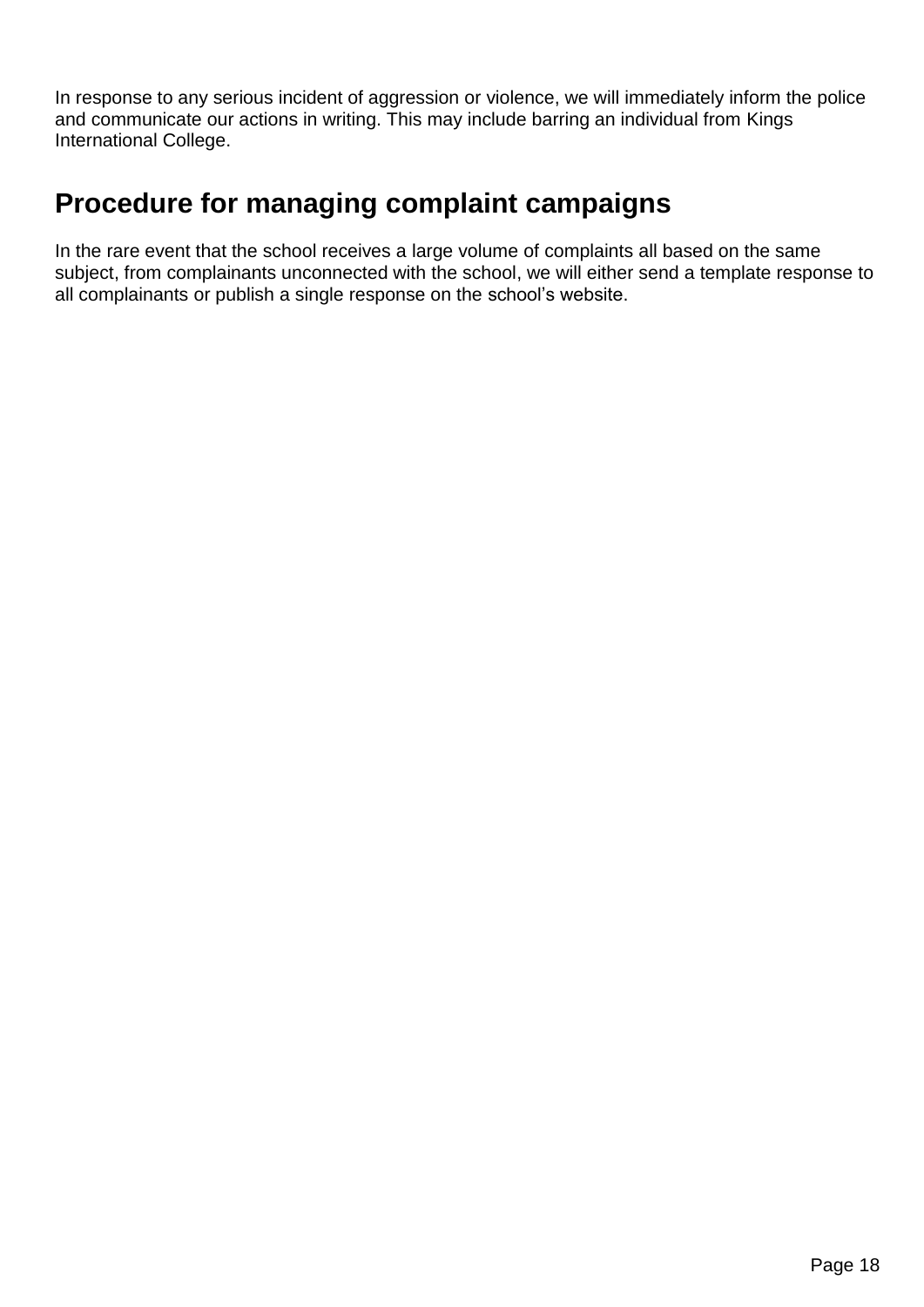In response to any serious incident of aggression or violence, we will immediately inform the police and communicate our actions in writing. This may include barring an individual from Kings International College.

### <span id="page-17-0"></span>**Procedure for managing complaint campaigns**

In the rare event that the school receives a large volume of complaints all based on the same subject, from complainants unconnected with the school, we will either send a template response to all complainants or publish a single response on the school's website.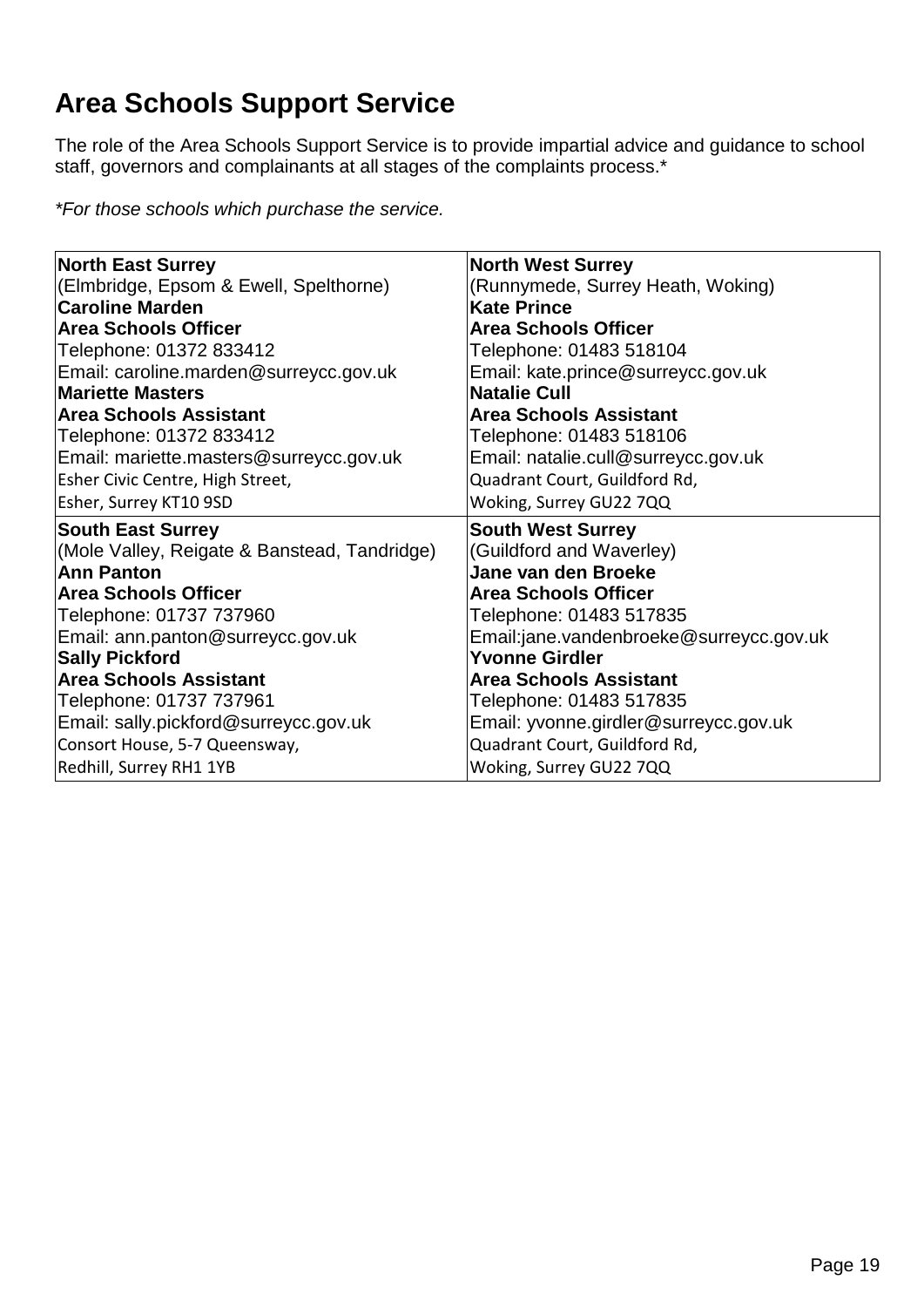# <span id="page-18-0"></span>**Area Schools Support Service**

The role of the Area Schools Support Service is to provide impartial advice and guidance to school staff, governors and complainants at all stages of the complaints process.\*

*\*For those schools which purchase the service.*

| <b>North East Surrey</b>                     | <b>North West Surrey</b>                |  |  |
|----------------------------------------------|-----------------------------------------|--|--|
| (Elmbridge, Epsom & Ewell, Spelthorne)       | (Runnymede, Surrey Heath, Woking)       |  |  |
| <b>Caroline Marden</b>                       | <b>Kate Prince</b>                      |  |  |
| <b>Area Schools Officer</b>                  | <b>Area Schools Officer</b>             |  |  |
| Telephone: 01372 833412                      | Telephone: 01483 518104                 |  |  |
| Email: caroline.marden@surreycc.gov.uk       | Email: kate.prince@surreycc.gov.uk      |  |  |
| <b>Mariette Masters</b>                      | <b>Natalie Cull</b>                     |  |  |
| <b>Area Schools Assistant</b>                | <b>Area Schools Assistant</b>           |  |  |
| Telephone: 01372 833412                      | Telephone: 01483 518106                 |  |  |
| Email: mariette.masters@surreycc.gov.uk      | Email: natalie.cull@surreycc.gov.uk     |  |  |
| Esher Civic Centre, High Street,             | Quadrant Court, Guildford Rd,           |  |  |
| Esher, Surrey KT10 9SD                       | Woking, Surrey GU22 7QQ                 |  |  |
| <b>South East Surrey</b>                     | <b>South West Surrey</b>                |  |  |
| (Mole Valley, Reigate & Banstead, Tandridge) | (Guildford and Waverley)                |  |  |
| Ann Panton                                   | Jane van den Broeke                     |  |  |
| <b>Area Schools Officer</b>                  | <b>Area Schools Officer</b>             |  |  |
| Telephone: 01737 737960                      | Telephone: 01483 517835                 |  |  |
| Email: ann.panton@surreycc.gov.uk            | Email:jane.vandenbroeke@surreycc.gov.uk |  |  |
| <b>Sally Pickford</b>                        | <b>Yvonne Girdler</b>                   |  |  |
| <b>Area Schools Assistant</b>                | <b>Area Schools Assistant</b>           |  |  |
| Telephone: 01737 737961                      | Telephone: 01483 517835                 |  |  |
| Email: sally.pickford@surreycc.gov.uk        | Email: yvonne.girdler@surreycc.gov.uk   |  |  |
| Consort House, 5-7 Queensway,                | Quadrant Court, Guildford Rd,           |  |  |
| Redhill, Surrey RH1 1YB                      | Woking, Surrey GU22 7QQ                 |  |  |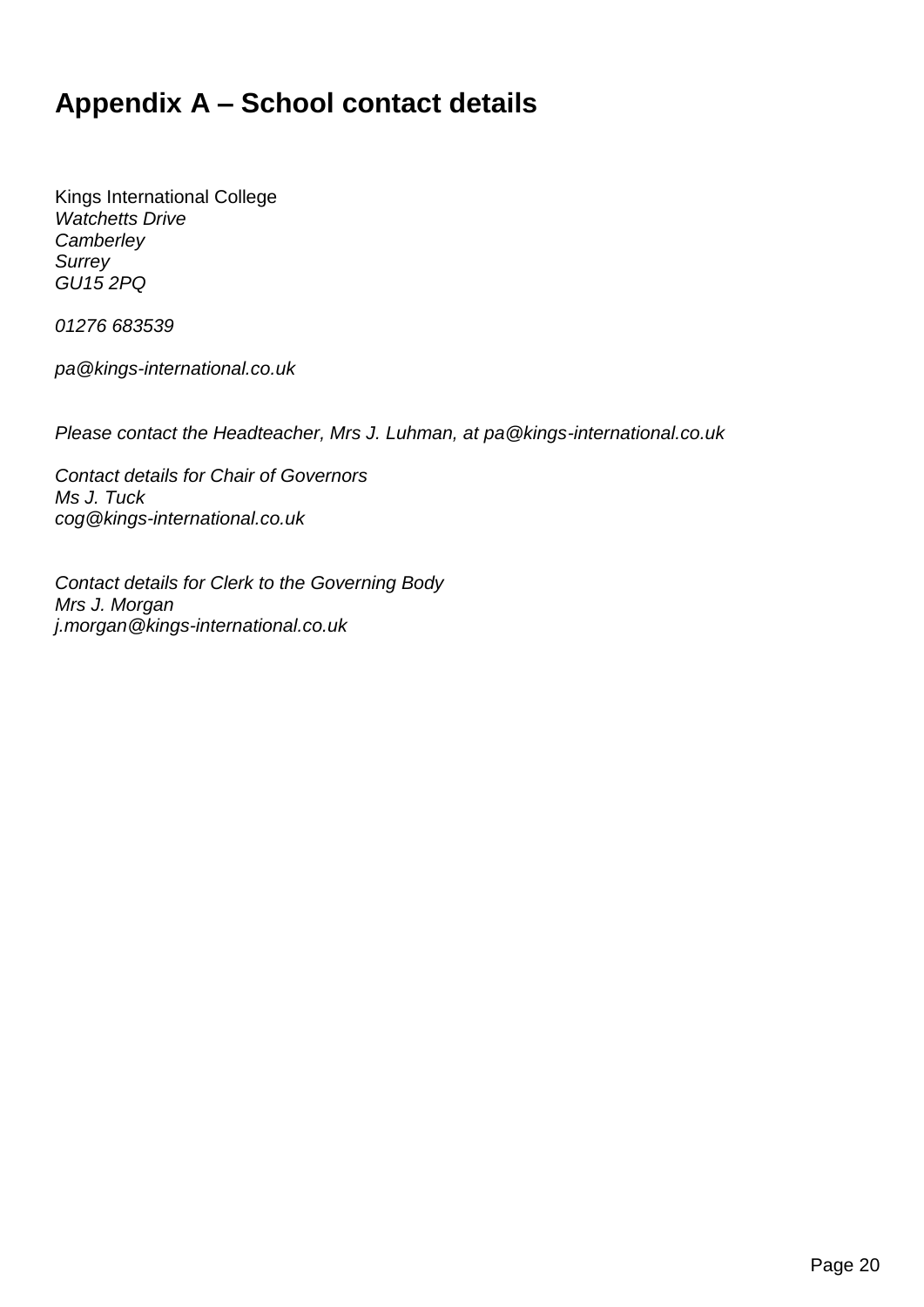## <span id="page-19-0"></span>**Appendix A – School contact details**

Kings International College *Watchetts Drive Camberley Surrey GU15 2PQ*

*01276 683539*

*pa@kings-international.co.uk*

*Please contact the Headteacher, Mrs J. Luhman, at pa@kings-international.co.uk*

*Contact details for Chair of Governors Ms J. Tuck cog@kings-international.co.uk*

*Contact details for Clerk to the Governing Body Mrs J. Morgan j.morgan@kings-international.co.uk*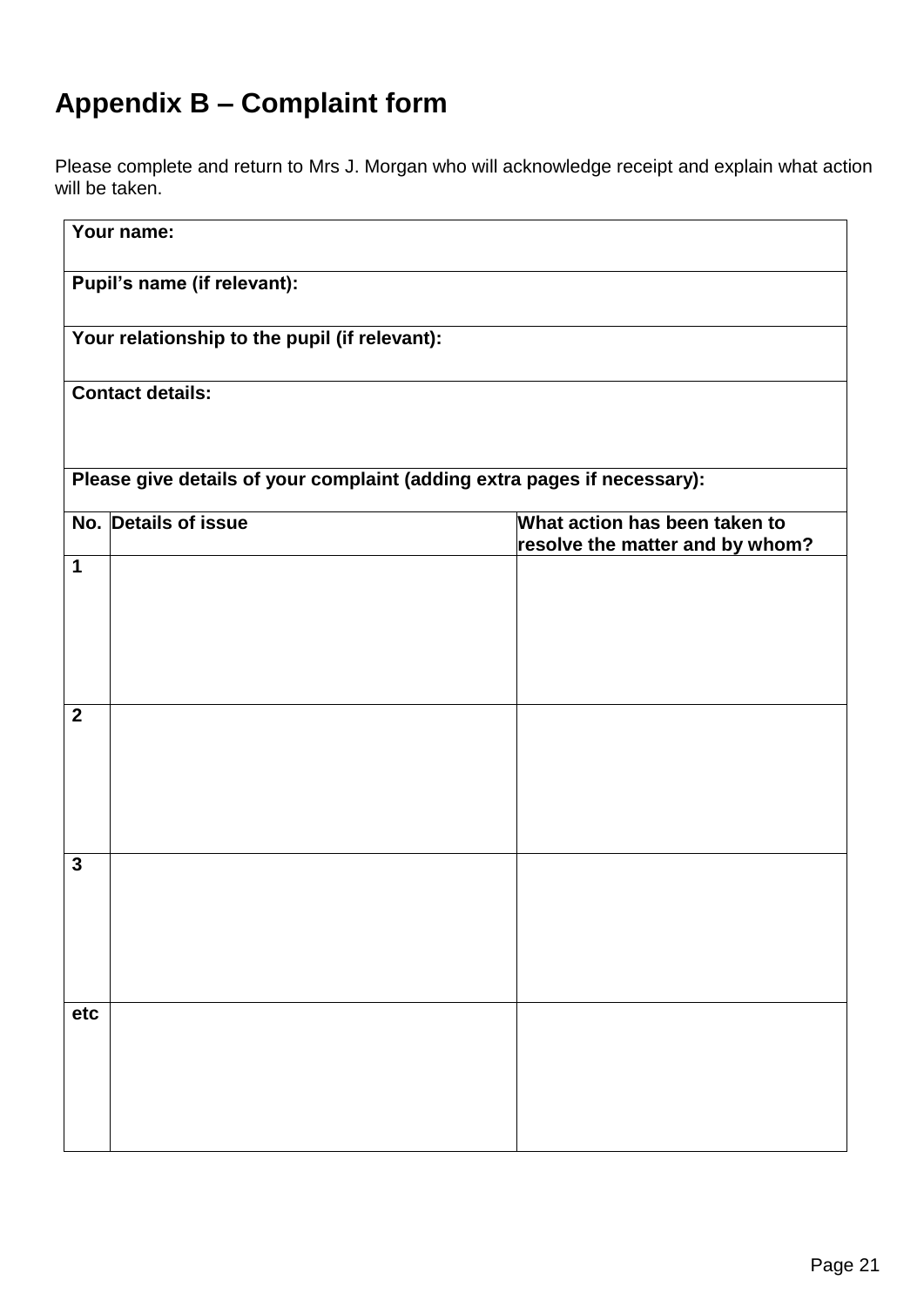## <span id="page-20-0"></span>**Appendix B – Complaint form**

Please complete and return to Mrs J. Morgan who will acknowledge receipt and explain what action will be taken.

|                | Your name:                                                               |                                                                  |
|----------------|--------------------------------------------------------------------------|------------------------------------------------------------------|
|                | Pupil's name (if relevant):                                              |                                                                  |
|                | Your relationship to the pupil (if relevant):                            |                                                                  |
|                | <b>Contact details:</b>                                                  |                                                                  |
|                |                                                                          |                                                                  |
|                | Please give details of your complaint (adding extra pages if necessary): |                                                                  |
|                | No. Details of issue                                                     | What action has been taken to<br>resolve the matter and by whom? |
| 1              |                                                                          |                                                                  |
|                |                                                                          |                                                                  |
|                |                                                                          |                                                                  |
|                |                                                                          |                                                                  |
| $\overline{2}$ |                                                                          |                                                                  |
|                |                                                                          |                                                                  |
|                |                                                                          |                                                                  |
|                |                                                                          |                                                                  |
|                |                                                                          |                                                                  |
| $\mathbf{3}$   |                                                                          |                                                                  |
|                |                                                                          |                                                                  |
|                |                                                                          |                                                                  |
|                |                                                                          |                                                                  |
| etc            |                                                                          |                                                                  |
|                |                                                                          |                                                                  |
|                |                                                                          |                                                                  |
|                |                                                                          |                                                                  |
|                |                                                                          |                                                                  |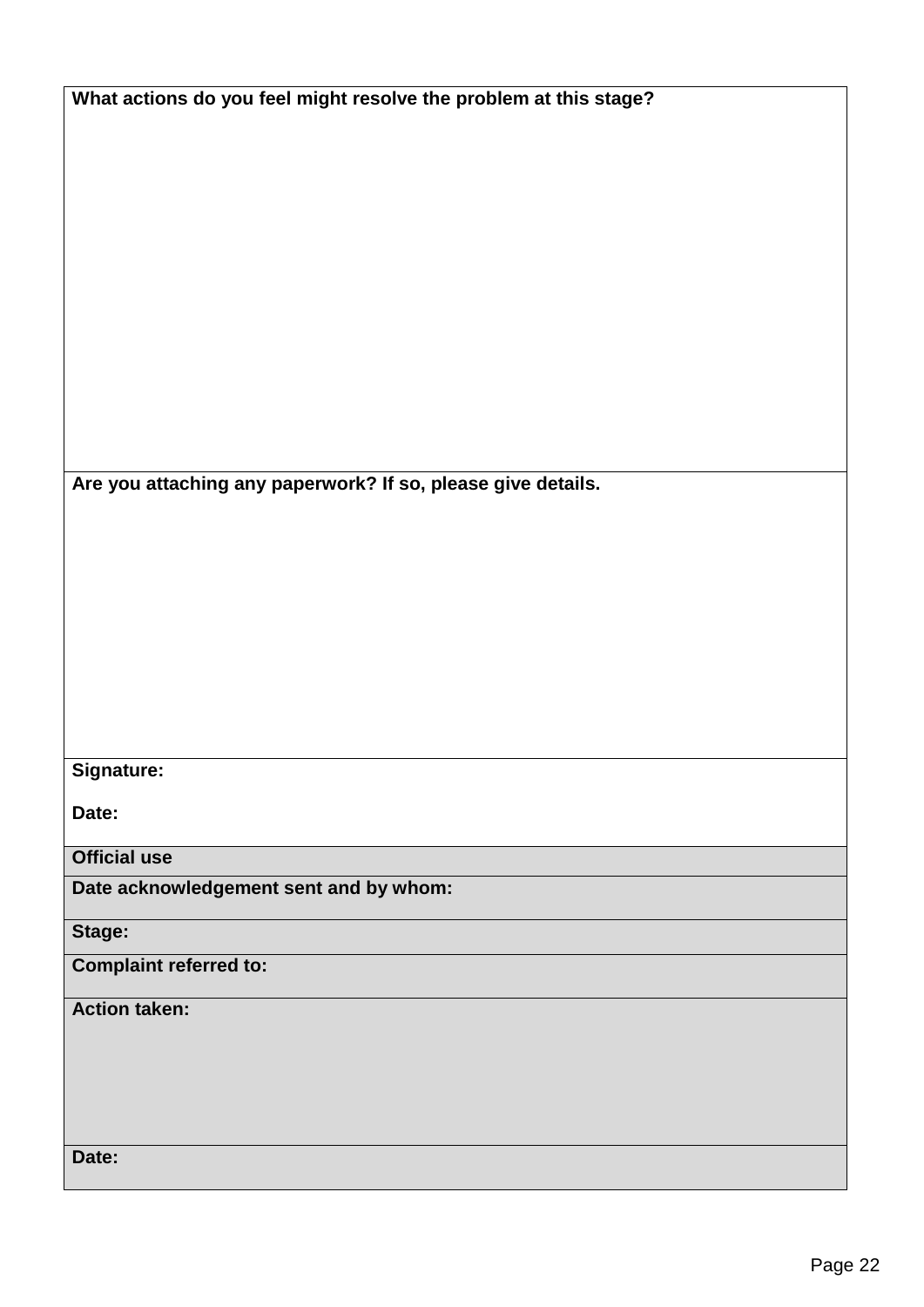| What actions do you feel might resolve the problem at this stage? |  |  |  |  |
|-------------------------------------------------------------------|--|--|--|--|
|-------------------------------------------------------------------|--|--|--|--|

**Are you attaching any paperwork? If so, please give details.**

#### **Signature:**

**Date:**

**Official use**

**Date acknowledgement sent and by whom:**

**Stage:** 

**Complaint referred to:**

#### **Action taken:**

**Date:**